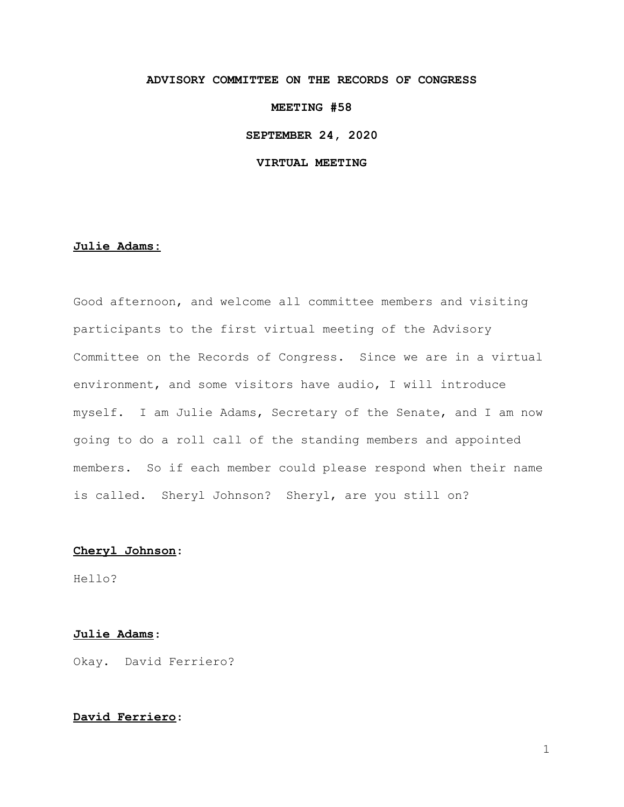## **ADVISORY COMMITTEE ON THE RECORDS OF CONGRESS**

**MEETING #58**

**SEPTEMBER 24, 2020**

# **VIRTUAL MEETING**

## **Julie Adams:**

Good afternoon, and welcome all committee members and visiting participants to the first virtual meeting of the Advisory Committee on the Records of Congress. Since we are in a virtual environment, and some visitors have audio, I will introduce myself. I am Julie Adams, Secretary of the Senate, and I am now going to do a roll call of the standing members and appointed members. So if each member could please respond when their name is called. Sheryl Johnson? Sheryl, are you still on?

#### **Cheryl Johnson**:

Hello?

# **Julie Adams**:

Okay. David Ferriero?

## **David Ferriero**: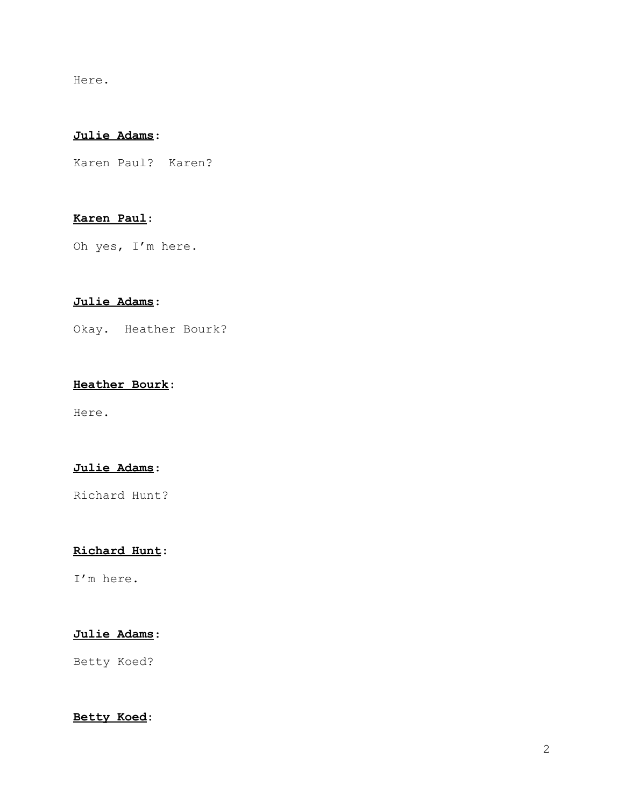Here.

# **Julie Adams**:

Karen Paul? Karen?

# **Karen Paul**:

Oh yes, I'm here.

# **Julie Adams**:

Okay. Heather Bourk?

# **Heather Bourk**:

Here.

# **Julie Adams**:

Richard Hunt?

# **Richard Hunt**:

I'm here.

# **Julie Adams**:

Betty Koed?

# **Betty Koed**: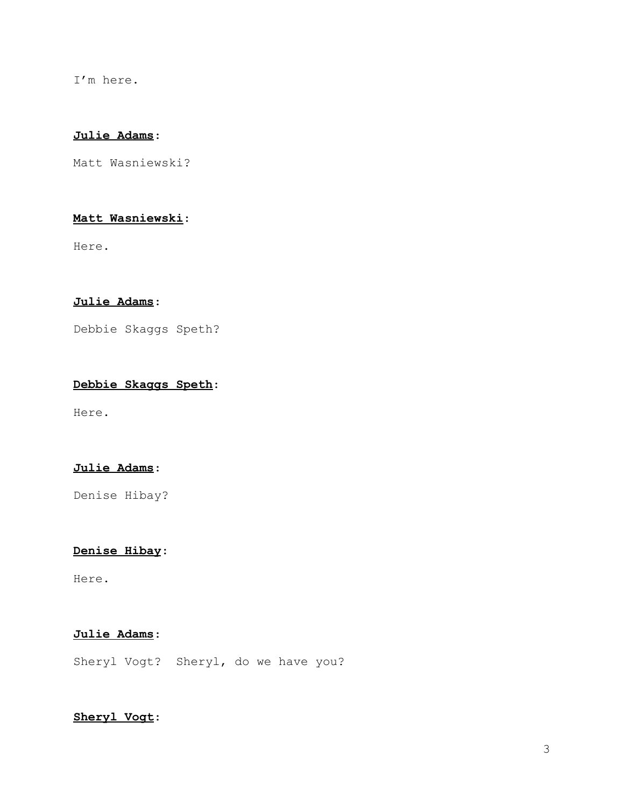I'm here.

# **Julie Adams**:

Matt Wasniewski?

# **Matt Wasniewski**:

Here.

# **Julie Adams**:

Debbie Skaggs Speth?

# **Debbie Skaggs Speth**:

Here.

# **Julie Adams**:

Denise Hibay?

# **Denise Hibay**:

Here.

# **Julie Adams**:

Sheryl Vogt? Sheryl, do we have you?

# **Sheryl Vogt**: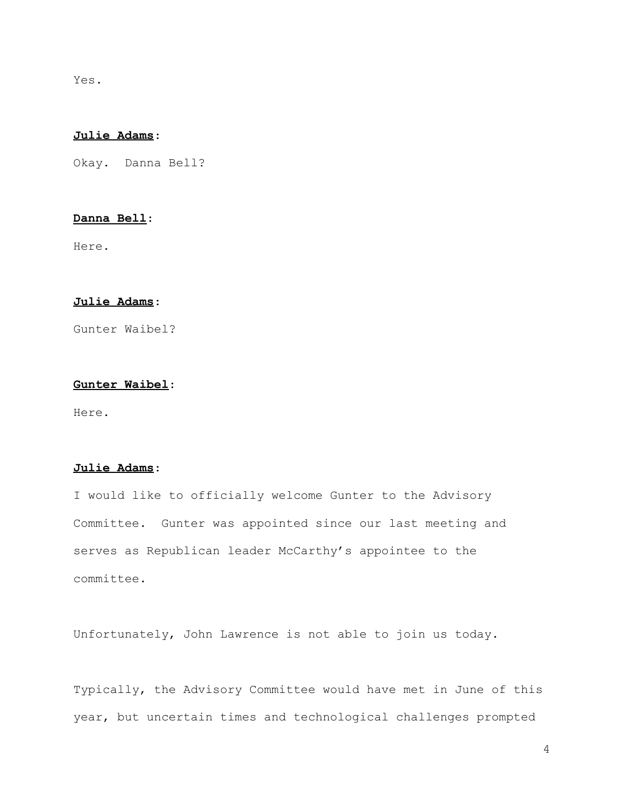Yes.

#### **Julie Adams**:

Okay. Danna Bell?

## **Danna Bell**:

Here.

### **Julie Adams**:

Gunter Waibel?

### **Gunter Waibel**:

Here.

## **Julie Adams**:

I would like to officially welcome Gunter to the Advisory Committee. Gunter was appointed since our last meeting and serves as Republican leader McCarthy's appointee to the committee.

Unfortunately, John Lawrence is not able to join us today.

Typically, the Advisory Committee would have met in June of this year, but uncertain times and technological challenges prompted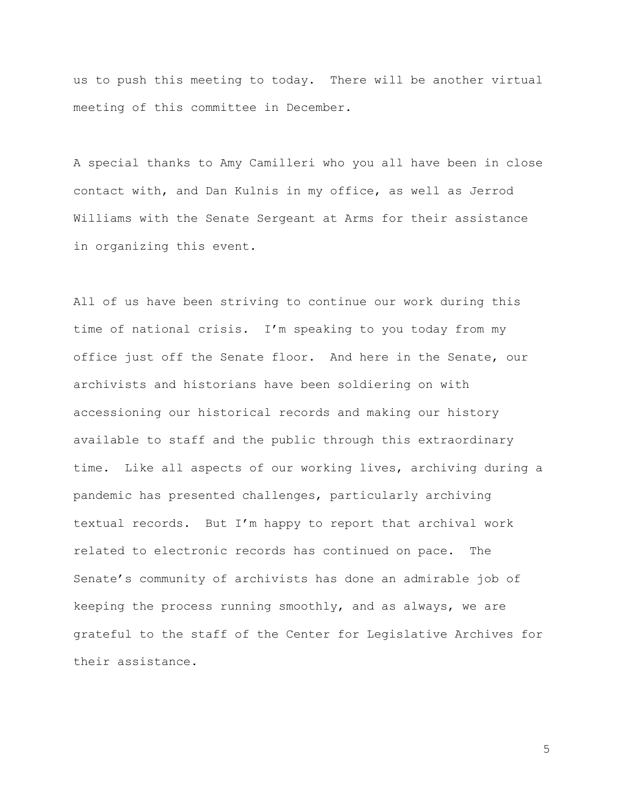us to push this meeting to today. There will be another virtual meeting of this committee in December.

A special thanks to Amy Camilleri who you all have been in close contact with, and Dan Kulnis in my office, as well as Jerrod Williams with the Senate Sergeant at Arms for their assistance in organizing this event.

All of us have been striving to continue our work during this time of national crisis. I'm speaking to you today from my office just off the Senate floor. And here in the Senate, our archivists and historians have been soldiering on with accessioning our historical records and making our history available to staff and the public through this extraordinary time. Like all aspects of our working lives, archiving during a pandemic has presented challenges, particularly archiving textual records. But I'm happy to report that archival work related to electronic records has continued on pace. The Senate's community of archivists has done an admirable job of keeping the process running smoothly, and as always, we are grateful to the staff of the Center for Legislative Archives for their assistance.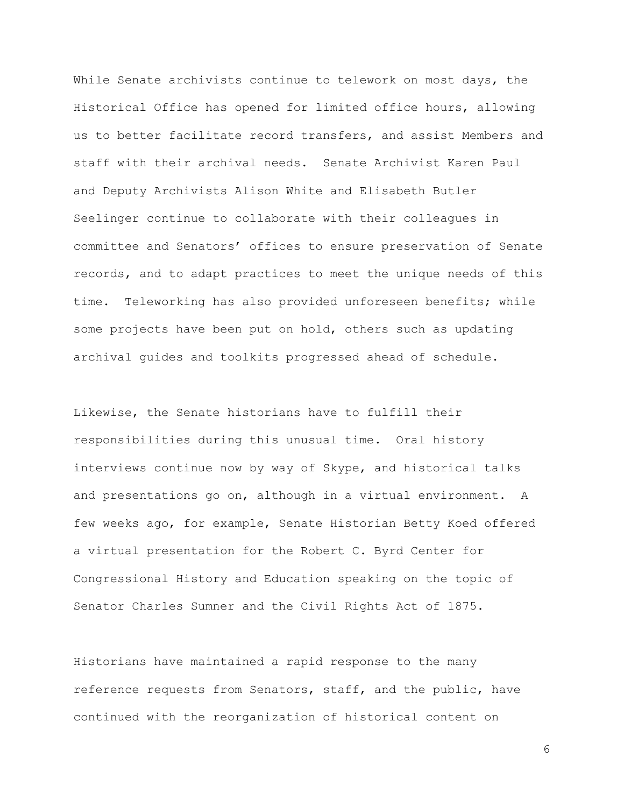While Senate archivists continue to telework on most days, the Historical Office has opened for limited office hours, allowing us to better facilitate record transfers, and assist Members and staff with their archival needs. Senate Archivist Karen Paul and Deputy Archivists Alison White and Elisabeth Butler Seelinger continue to collaborate with their colleagues in committee and Senators' offices to ensure preservation of Senate records, and to adapt practices to meet the unique needs of this time. Teleworking has also provided unforeseen benefits; while some projects have been put on hold, others such as updating archival guides and toolkits progressed ahead of schedule.

Likewise, the Senate historians have to fulfill their responsibilities during this unusual time. Oral history interviews continue now by way of Skype, and historical talks and presentations go on, although in a virtual environment. A few weeks ago, for example, Senate Historian Betty Koed offered a virtual presentation for the Robert C. Byrd Center for Congressional History and Education speaking on the topic of Senator Charles Sumner and the Civil Rights Act of 1875.

Historians have maintained a rapid response to the many reference requests from Senators, staff, and the public, have continued with the reorganization of historical content on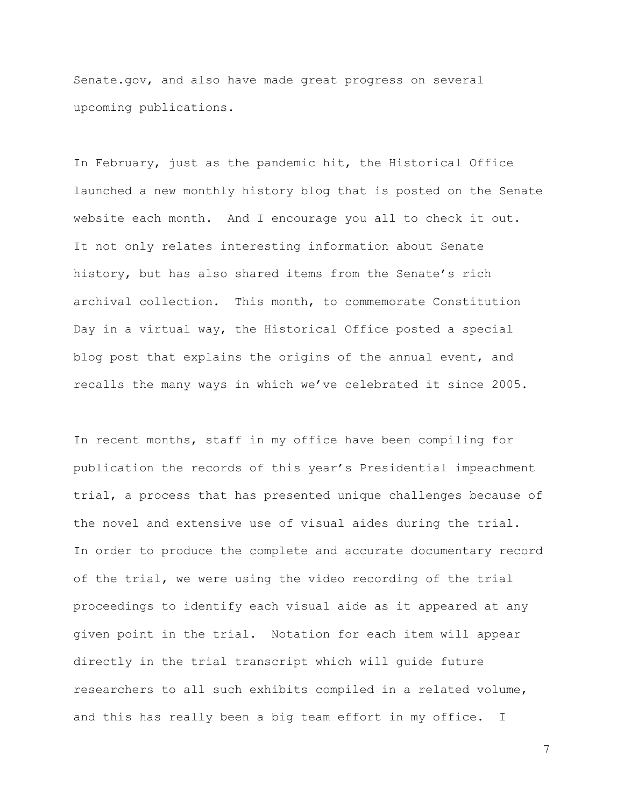Senate.gov, and also have made great progress on several upcoming publications.

In February, just as the pandemic hit, the Historical Office launched a new monthly history blog that is posted on the Senate website each month. And I encourage you all to check it out. It not only relates interesting information about Senate history, but has also shared items from the Senate's rich archival collection. This month, to commemorate Constitution Day in a virtual way, the Historical Office posted a special blog post that explains the origins of the annual event, and recalls the many ways in which we've celebrated it since 2005.

In recent months, staff in my office have been compiling for publication the records of this year's Presidential impeachment trial, a process that has presented unique challenges because of the novel and extensive use of visual aides during the trial. In order to produce the complete and accurate documentary record of the trial, we were using the video recording of the trial proceedings to identify each visual aide as it appeared at any given point in the trial. Notation for each item will appear directly in the trial transcript which will guide future researchers to all such exhibits compiled in a related volume, and this has really been a big team effort in my office. I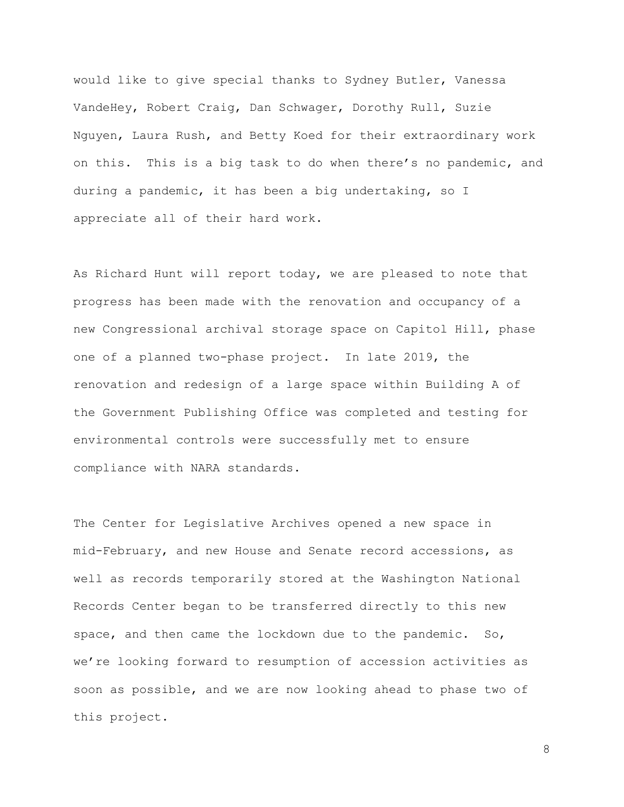would like to give special thanks to Sydney Butler, Vanessa VandeHey, Robert Craig, Dan Schwager, Dorothy Rull, Suzie Nguyen, Laura Rush, and Betty Koed for their extraordinary work on this. This is a big task to do when there's no pandemic, and during a pandemic, it has been a big undertaking, so I appreciate all of their hard work.

As Richard Hunt will report today, we are pleased to note that progress has been made with the renovation and occupancy of a new Congressional archival storage space on Capitol Hill, phase one of a planned two-phase project. In late 2019, the renovation and redesign of a large space within Building A of the Government Publishing Office was completed and testing for environmental controls were successfully met to ensure compliance with NARA standards.

The Center for Legislative Archives opened a new space in mid-February, and new House and Senate record accessions, as well as records temporarily stored at the Washington National Records Center began to be transferred directly to this new space, and then came the lockdown due to the pandemic. So, we're looking forward to resumption of accession activities as soon as possible, and we are now looking ahead to phase two of this project.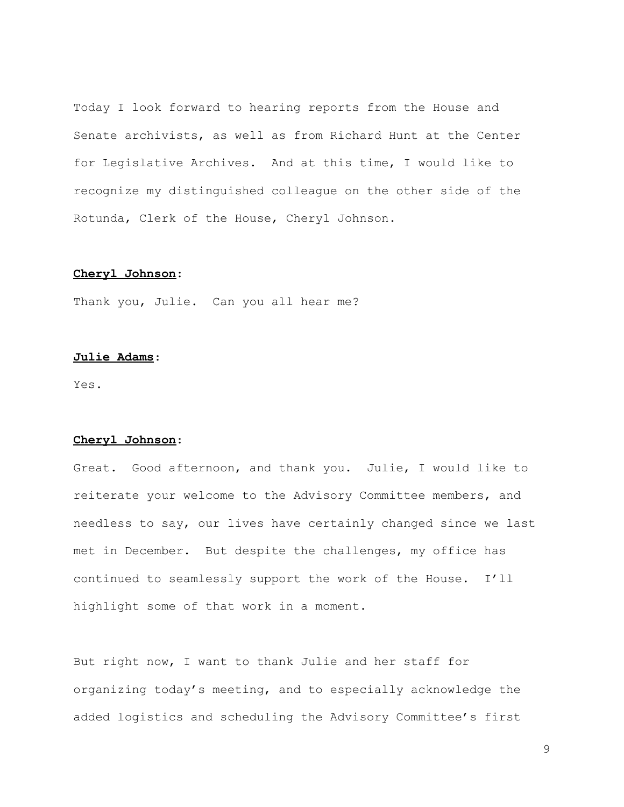Today I look forward to hearing reports from the House and Senate archivists, as well as from Richard Hunt at the Center for Legislative Archives. And at this time, I would like to recognize my distinguished colleague on the other side of the Rotunda, Clerk of the House, Cheryl Johnson.

#### **Cheryl Johnson**:

Thank you, Julie. Can you all hear me?

#### **Julie Adams**:

Yes.

## **Cheryl Johnson**:

Great. Good afternoon, and thank you. Julie, I would like to reiterate your welcome to the Advisory Committee members, and needless to say, our lives have certainly changed since we last met in December. But despite the challenges, my office has continued to seamlessly support the work of the House. I'll highlight some of that work in a moment.

But right now, I want to thank Julie and her staff for organizing today's meeting, and to especially acknowledge the added logistics and scheduling the Advisory Committee's first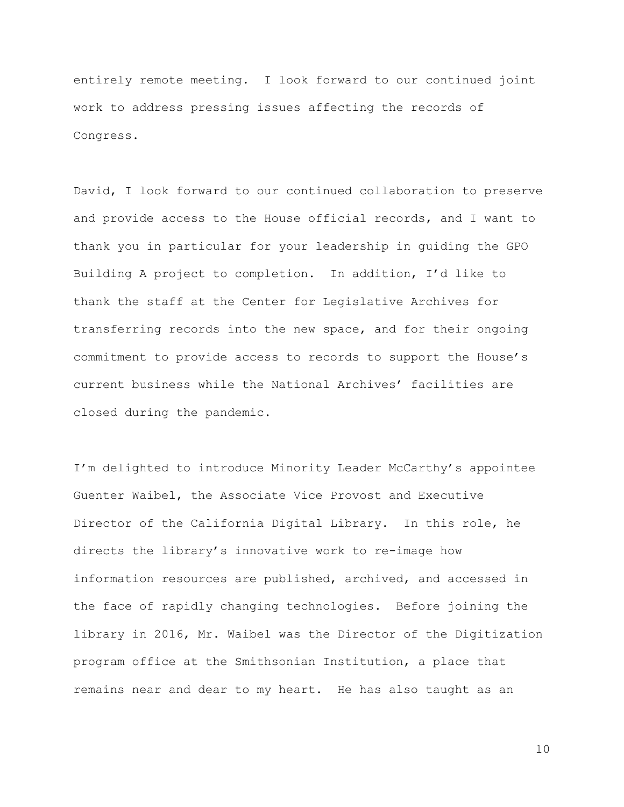entirely remote meeting. I look forward to our continued joint work to address pressing issues affecting the records of Congress.

David, I look forward to our continued collaboration to preserve and provide access to the House official records, and I want to thank you in particular for your leadership in guiding the GPO Building A project to completion. In addition, I'd like to thank the staff at the Center for Legislative Archives for transferring records into the new space, and for their ongoing commitment to provide access to records to support the House's current business while the National Archives' facilities are closed during the pandemic.

I'm delighted to introduce Minority Leader McCarthy's appointee Guenter Waibel, the Associate Vice Provost and Executive Director of the California Digital Library. In this role, he directs the library's innovative work to re-image how information resources are published, archived, and accessed in the face of rapidly changing technologies. Before joining the library in 2016, Mr. Waibel was the Director of the Digitization program office at the Smithsonian Institution, a place that remains near and dear to my heart. He has also taught as an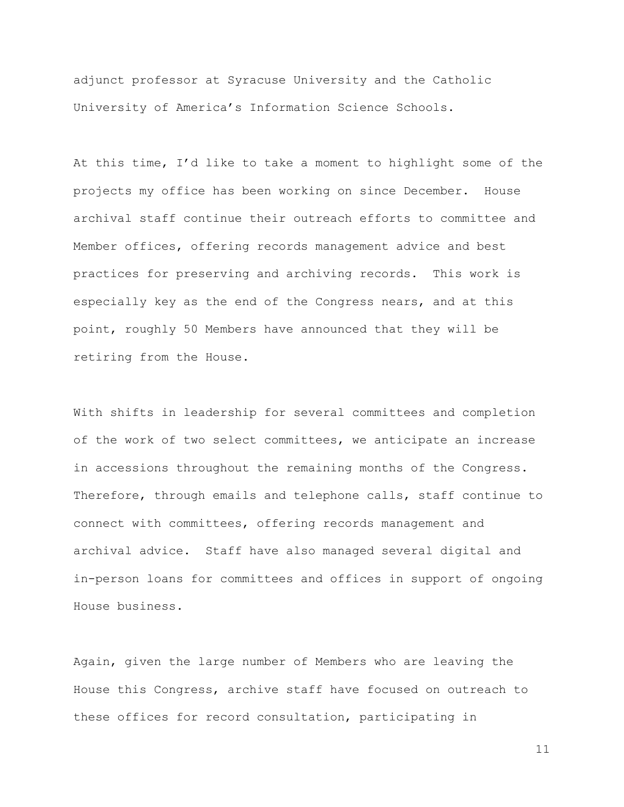adjunct professor at Syracuse University and the Catholic University of America's Information Science Schools.

At this time, I'd like to take a moment to highlight some of the projects my office has been working on since December. House archival staff continue their outreach efforts to committee and Member offices, offering records management advice and best practices for preserving and archiving records. This work is especially key as the end of the Congress nears, and at this point, roughly 50 Members have announced that they will be retiring from the House.

With shifts in leadership for several committees and completion of the work of two select committees, we anticipate an increase in accessions throughout the remaining months of the Congress. Therefore, through emails and telephone calls, staff continue to connect with committees, offering records management and archival advice. Staff have also managed several digital and in-person loans for committees and offices in support of ongoing House business.

Again, given the large number of Members who are leaving the House this Congress, archive staff have focused on outreach to these offices for record consultation, participating in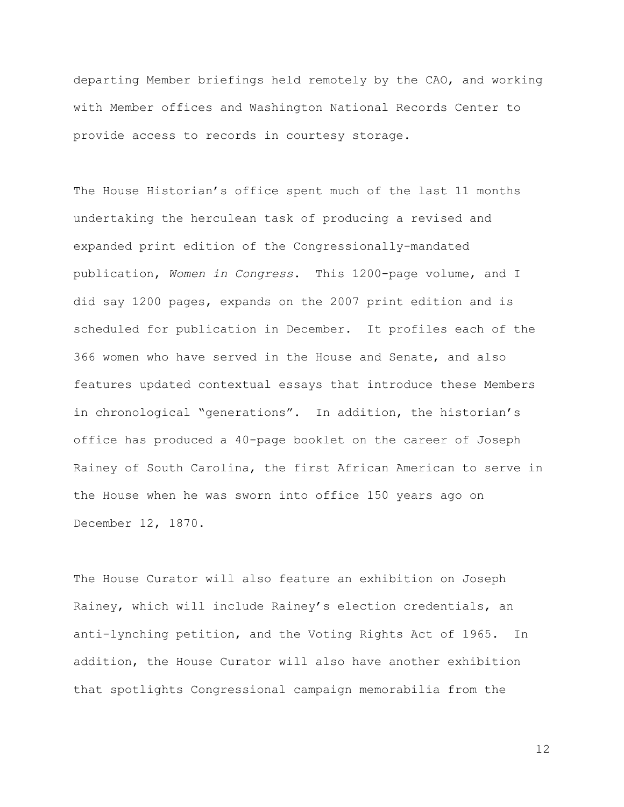departing Member briefings held remotely by the CAO, and working with Member offices and Washington National Records Center to provide access to records in courtesy storage.

The House Historian's office spent much of the last 11 months undertaking the herculean task of producing a revised and expanded print edition of the Congressionally-mandated publication, *Women in Congress*. This 1200-page volume, and I did say 1200 pages, expands on the 2007 print edition and is scheduled for publication in December. It profiles each of the 366 women who have served in the House and Senate, and also features updated contextual essays that introduce these Members in chronological "generations". In addition, the historian's office has produced a 40-page booklet on the career of Joseph Rainey of South Carolina, the first African American to serve in the House when he was sworn into office 150 years ago on December 12, 1870.

The House Curator will also feature an exhibition on Joseph Rainey, which will include Rainey's election credentials, an anti-lynching petition, and the Voting Rights Act of 1965. In addition, the House Curator will also have another exhibition that spotlights Congressional campaign memorabilia from the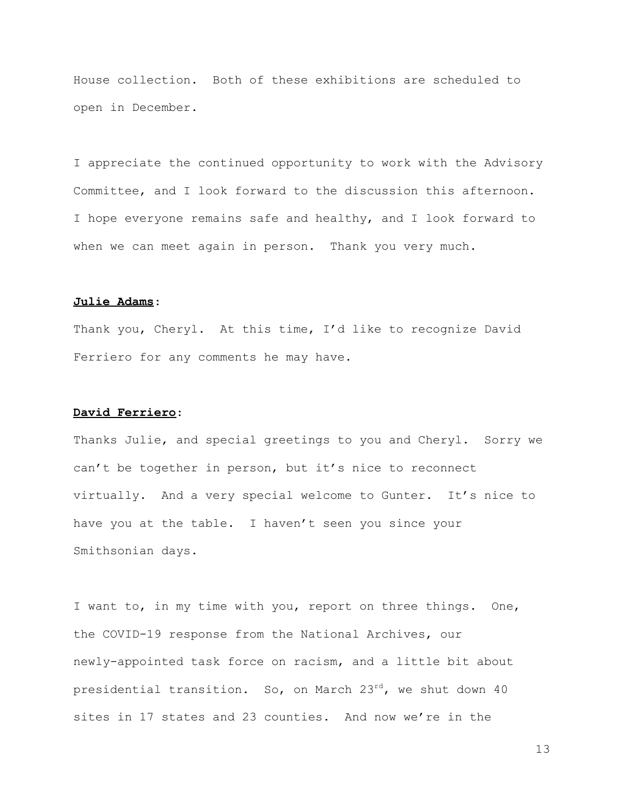House collection. Both of these exhibitions are scheduled to open in December.

I appreciate the continued opportunity to work with the Advisory Committee, and I look forward to the discussion this afternoon. I hope everyone remains safe and healthy, and I look forward to when we can meet again in person. Thank you very much.

#### **Julie Adams**:

Thank you, Cheryl. At this time, I'd like to recognize David Ferriero for any comments he may have.

#### **David Ferriero**:

Thanks Julie, and special greetings to you and Cheryl. Sorry we can't be together in person, but it's nice to reconnect virtually. And a very special welcome to Gunter. It's nice to have you at the table. I haven't seen you since your Smithsonian days.

I want to, in my time with you, report on three things. One, the COVID-19 response from the National Archives, our newly-appointed task force on racism, and a little bit about presidential transition. So, on March 23rd, we shut down 40 sites in 17 states and 23 counties. And now we're in the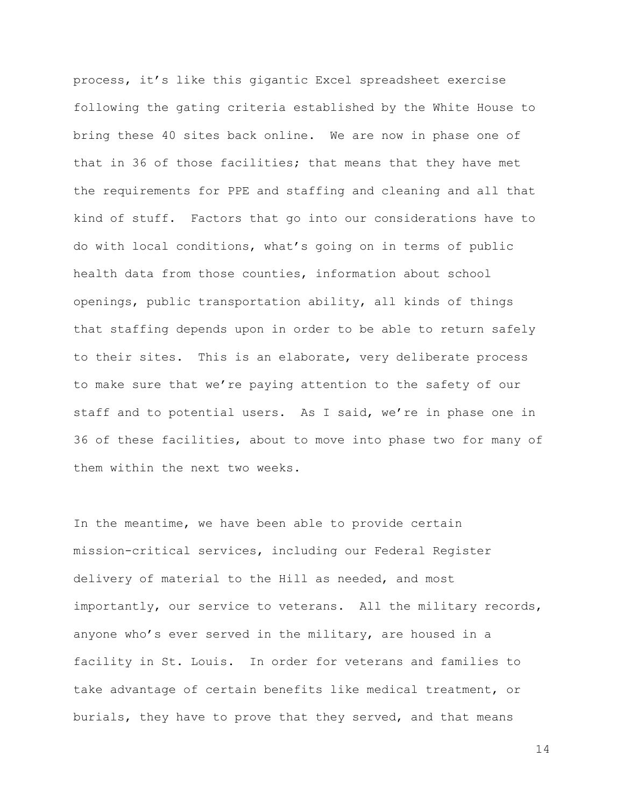process, it's like this gigantic Excel spreadsheet exercise following the gating criteria established by the White House to bring these 40 sites back online. We are now in phase one of that in 36 of those facilities; that means that they have met the requirements for PPE and staffing and cleaning and all that kind of stuff. Factors that go into our considerations have to do with local conditions, what's going on in terms of public health data from those counties, information about school openings, public transportation ability, all kinds of things that staffing depends upon in order to be able to return safely to their sites. This is an elaborate, very deliberate process to make sure that we're paying attention to the safety of our staff and to potential users. As I said, we're in phase one in 36 of these facilities, about to move into phase two for many of them within the next two weeks.

In the meantime, we have been able to provide certain mission-critical services, including our Federal Register delivery of material to the Hill as needed, and most importantly, our service to veterans. All the military records, anyone who's ever served in the military, are housed in a facility in St. Louis. In order for veterans and families to take advantage of certain benefits like medical treatment, or burials, they have to prove that they served, and that means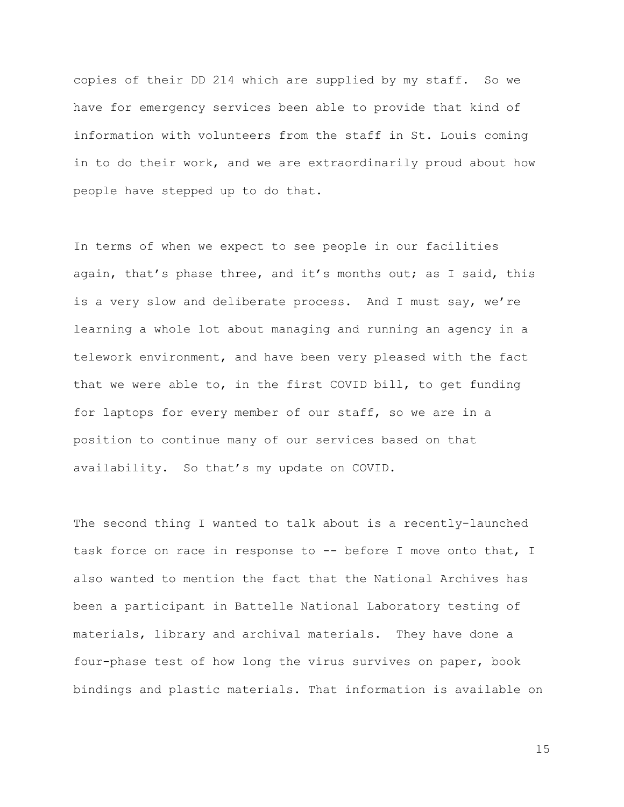copies of their DD 214 which are supplied by my staff. So we have for emergency services been able to provide that kind of information with volunteers from the staff in St. Louis coming in to do their work, and we are extraordinarily proud about how people have stepped up to do that.

In terms of when we expect to see people in our facilities again, that's phase three, and it's months out; as I said, this is a very slow and deliberate process. And I must say, we're learning a whole lot about managing and running an agency in a telework environment, and have been very pleased with the fact that we were able to, in the first COVID bill, to get funding for laptops for every member of our staff, so we are in a position to continue many of our services based on that availability. So that's my update on COVID.

The second thing I wanted to talk about is a recently-launched task force on race in response to -- before I move onto that, I also wanted to mention the fact that the National Archives has been a participant in Battelle National Laboratory testing of materials, library and archival materials. They have done a four-phase test of how long the virus survives on paper, book bindings and plastic materials. That information is available on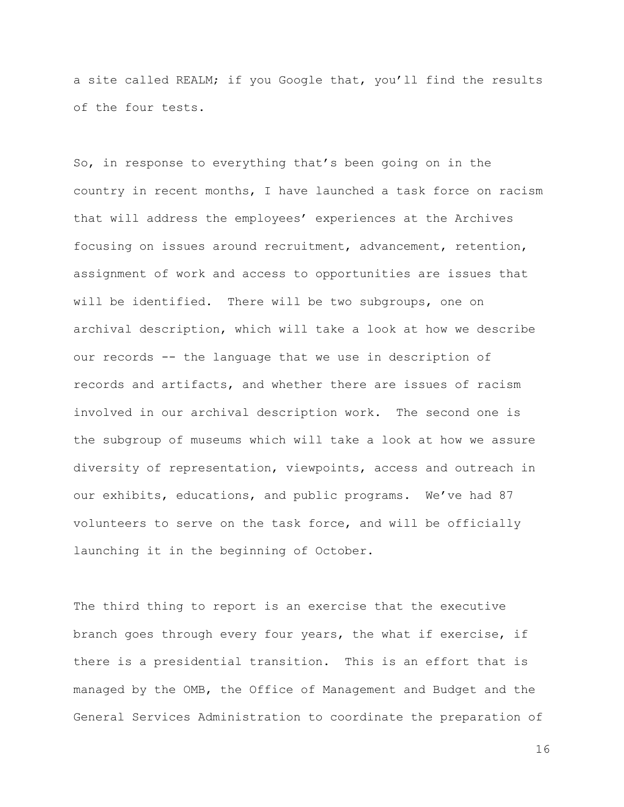a site called REALM; if you Google that, you'll find the results of the four tests.

So, in response to everything that's been going on in the country in recent months, I have launched a task force on racism that will address the employees' experiences at the Archives focusing on issues around recruitment, advancement, retention, assignment of work and access to opportunities are issues that will be identified. There will be two subgroups, one on archival description, which will take a look at how we describe our records -- the language that we use in description of records and artifacts, and whether there are issues of racism involved in our archival description work. The second one is the subgroup of museums which will take a look at how we assure diversity of representation, viewpoints, access and outreach in our exhibits, educations, and public programs. We've had 87 volunteers to serve on the task force, and will be officially launching it in the beginning of October.

The third thing to report is an exercise that the executive branch goes through every four years, the what if exercise, if there is a presidential transition. This is an effort that is managed by the OMB, the Office of Management and Budget and the General Services Administration to coordinate the preparation of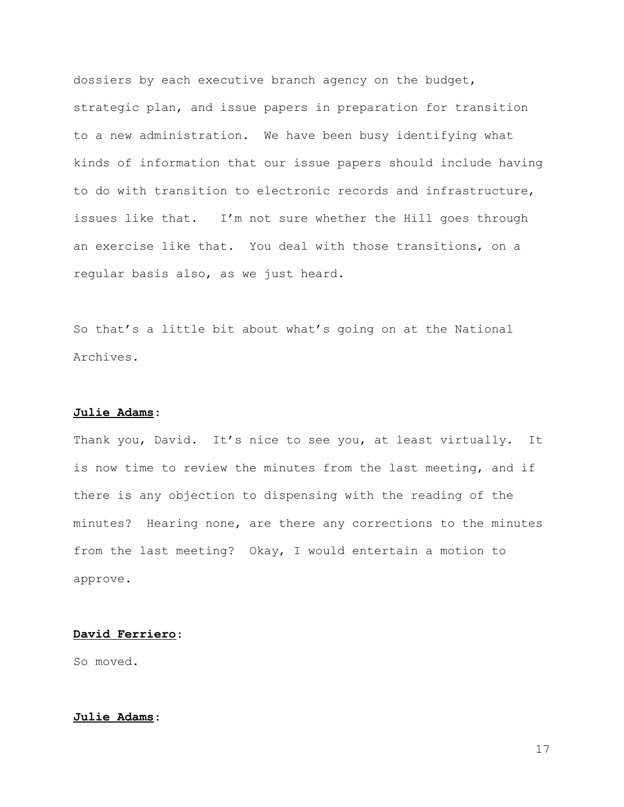dossiers by each executive branch agency on the budget, strategic plan, and issue papers in preparation for transition to a new administration. We have been busy identifying what kinds of information that our issue papers should include having to do with transition to electronic records and infrastructure, issues like that. I'm not sure whether the Hill goes through an exercise like that. You deal with those transitions, on a regular basis also, as we just heard.

So that's a little bit about what's going on at the National Archives.

#### **Julie Adams**:

Thank you, David. It's nice to see you, at least virtually. It is now time to review the minutes from the last meeting, and if there is any objection to dispensing with the reading of the minutes? Hearing none, are there any corrections to the minutes from the last meeting? Okay, I would entertain a motion to approve.

## **David Ferriero**:

So moved.

# **Julie Adams**: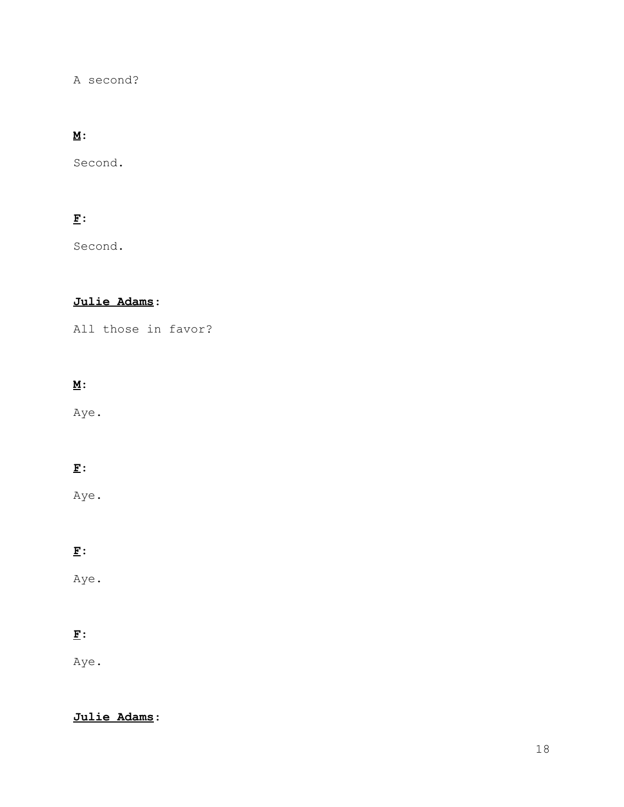A second?

# **M**:

Second.

# **F**:

Second.

# **Julie Adams**:

All those in favor?

# **M**:

Aye.

# **F**:

Aye.

# **F**:

Aye.

# **F**:

Aye.

# **Julie Adams**: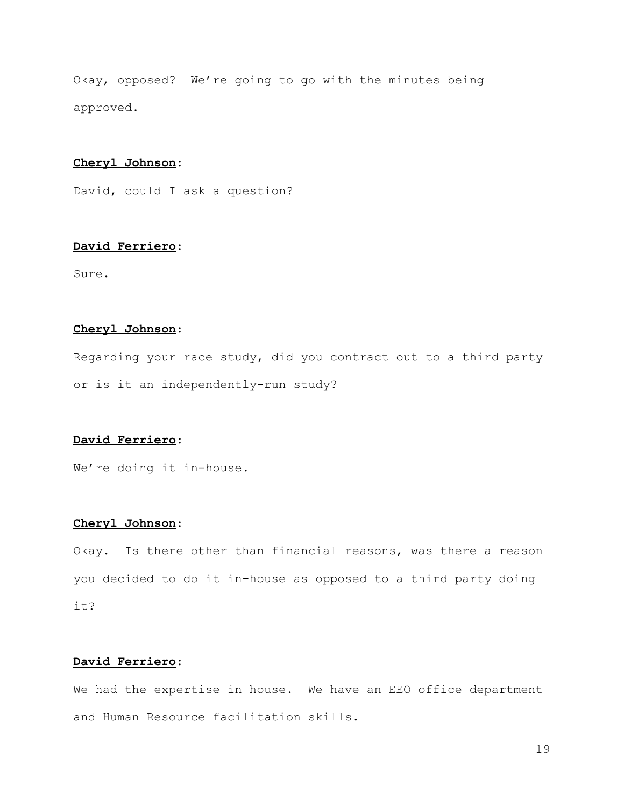Okay, opposed? We're going to go with the minutes being approved.

### **Cheryl Johnson**:

David, could I ask a question?

## **David Ferriero**:

Sure.

#### **Cheryl Johnson**:

Regarding your race study, did you contract out to a third party or is it an independently-run study?

## **David Ferriero**:

We're doing it in-house.

### **Cheryl Johnson**:

Okay. Is there other than financial reasons, was there a reason you decided to do it in-house as opposed to a third party doing it?

### **David Ferriero**:

We had the expertise in house. We have an EEO office department and Human Resource facilitation skills.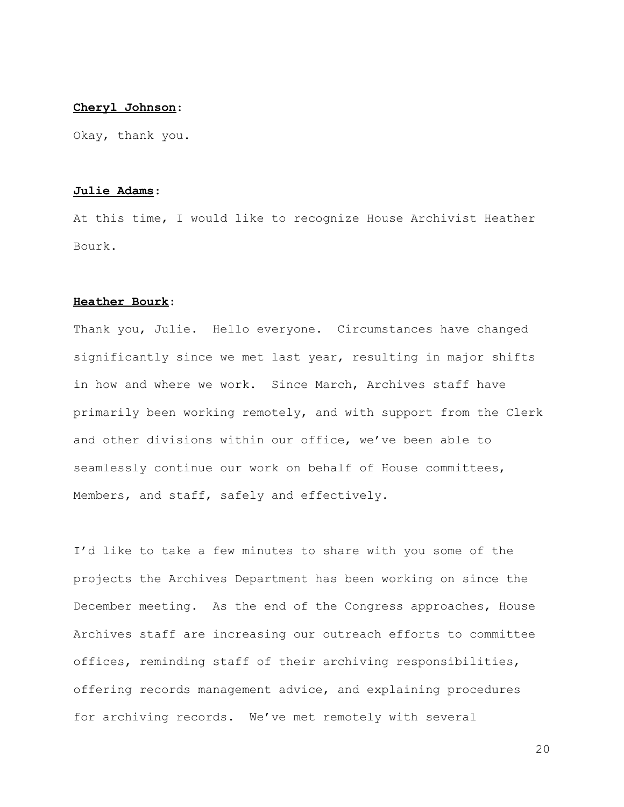#### **Cheryl Johnson**:

Okay, thank you.

#### **Julie Adams**:

At this time, I would like to recognize House Archivist Heather Bourk.

#### **Heather Bourk**:

Thank you, Julie. Hello everyone. Circumstances have changed significantly since we met last year, resulting in major shifts in how and where we work. Since March, Archives staff have primarily been working remotely, and with support from the Clerk and other divisions within our office, we've been able to seamlessly continue our work on behalf of House committees, Members, and staff, safely and effectively.

I'd like to take a few minutes to share with you some of the projects the Archives Department has been working on since the December meeting. As the end of the Congress approaches, House Archives staff are increasing our outreach efforts to committee offices, reminding staff of their archiving responsibilities, offering records management advice, and explaining procedures for archiving records. We've met remotely with several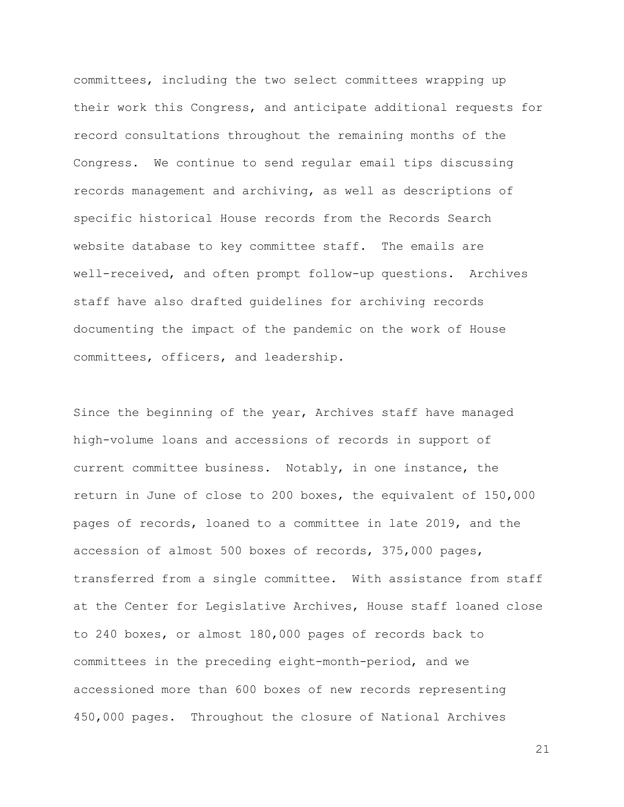committees, including the two select committees wrapping up their work this Congress, and anticipate additional requests for record consultations throughout the remaining months of the Congress. We continue to send regular email tips discussing records management and archiving, as well as descriptions of specific historical House records from the Records Search website database to key committee staff. The emails are well-received, and often prompt follow-up questions. Archives staff have also drafted guidelines for archiving records documenting the impact of the pandemic on the work of House committees, officers, and leadership.

Since the beginning of the year, Archives staff have managed high-volume loans and accessions of records in support of current committee business. Notably, in one instance, the return in June of close to 200 boxes, the equivalent of 150,000 pages of records, loaned to a committee in late 2019, and the accession of almost 500 boxes of records, 375,000 pages, transferred from a single committee. With assistance from staff at the Center for Legislative Archives, House staff loaned close to 240 boxes, or almost 180,000 pages of records back to committees in the preceding eight-month-period, and we accessioned more than 600 boxes of new records representing 450,000 pages. Throughout the closure of National Archives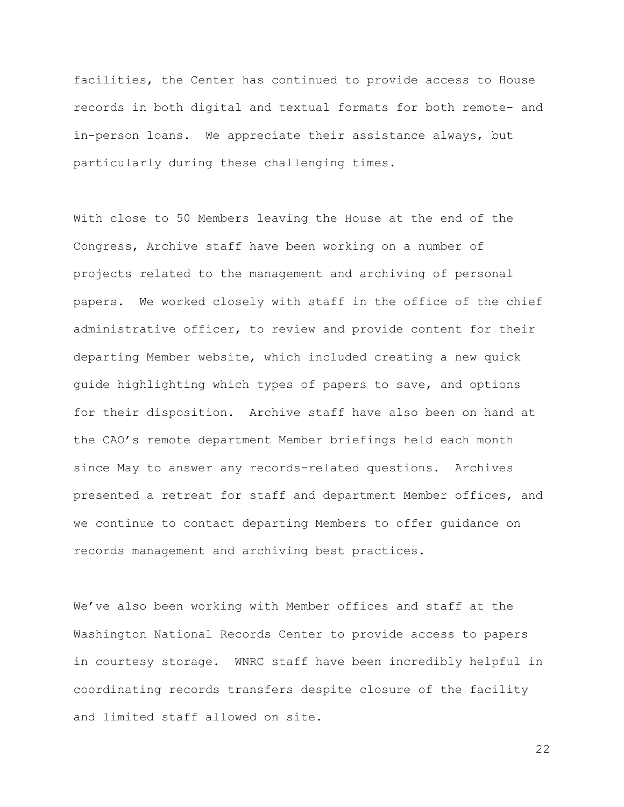facilities, the Center has continued to provide access to House records in both digital and textual formats for both remote- and in-person loans. We appreciate their assistance always, but particularly during these challenging times.

With close to 50 Members leaving the House at the end of the Congress, Archive staff have been working on a number of projects related to the management and archiving of personal papers. We worked closely with staff in the office of the chief administrative officer, to review and provide content for their departing Member website, which included creating a new quick guide highlighting which types of papers to save, and options for their disposition. Archive staff have also been on hand at the CAO's remote department Member briefings held each month since May to answer any records-related questions. Archives presented a retreat for staff and department Member offices, and we continue to contact departing Members to offer guidance on records management and archiving best practices.

We've also been working with Member offices and staff at the Washington National Records Center to provide access to papers in courtesy storage. WNRC staff have been incredibly helpful in coordinating records transfers despite closure of the facility and limited staff allowed on site.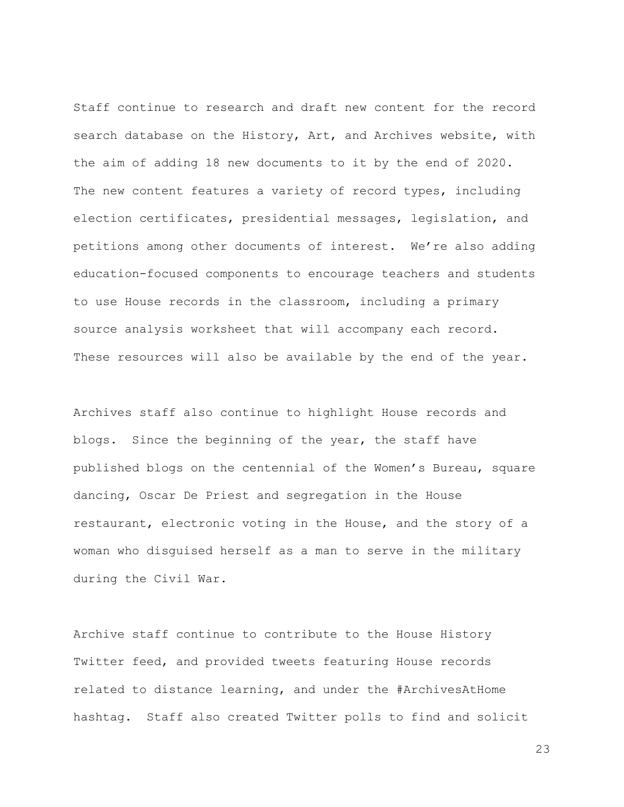Staff continue to research and draft new content for the record search database on the History, Art, and Archives website, with the aim of adding 18 new documents to it by the end of 2020. The new content features a variety of record types, including election certificates, presidential messages, legislation, and petitions among other documents of interest. We're also adding education-focused components to encourage teachers and students to use House records in the classroom, including a primary source analysis worksheet that will accompany each record. These resources will also be available by the end of the year.

Archives staff also continue to highlight House records and blogs. Since the beginning of the year, the staff have published blogs on the centennial of the Women's Bureau, square dancing, Oscar De Priest and segregation in the House restaurant, electronic voting in the House, and the story of a woman who disguised herself as a man to serve in the military during the Civil War.

Archive staff continue to contribute to the House History Twitter feed, and provided tweets featuring House records related to distance learning, and under the #ArchivesAtHome hashtag. Staff also created Twitter polls to find and solicit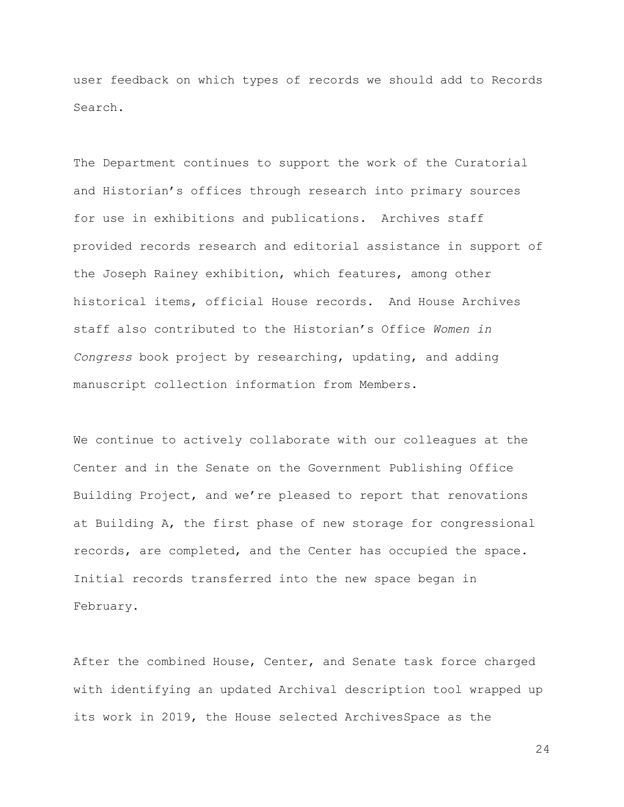user feedback on which types of records we should add to Records Search.

The Department continues to support the work of the Curatorial and Historian's offices through research into primary sources for use in exhibitions and publications. Archives staff provided records research and editorial assistance in support of the Joseph Rainey exhibition, which features, among other historical items, official House records. And House Archives staff also contributed to the Historian's Office *Women in Congress* book project by researching, updating, and adding manuscript collection information from Members.

We continue to actively collaborate with our colleagues at the Center and in the Senate on the Government Publishing Office Building Project, and we're pleased to report that renovations at Building A, the first phase of new storage for congressional records, are completed, and the Center has occupied the space. Initial records transferred into the new space began in February.

After the combined House, Center, and Senate task force charged with identifying an updated Archival description tool wrapped up its work in 2019, the House selected ArchivesSpace as the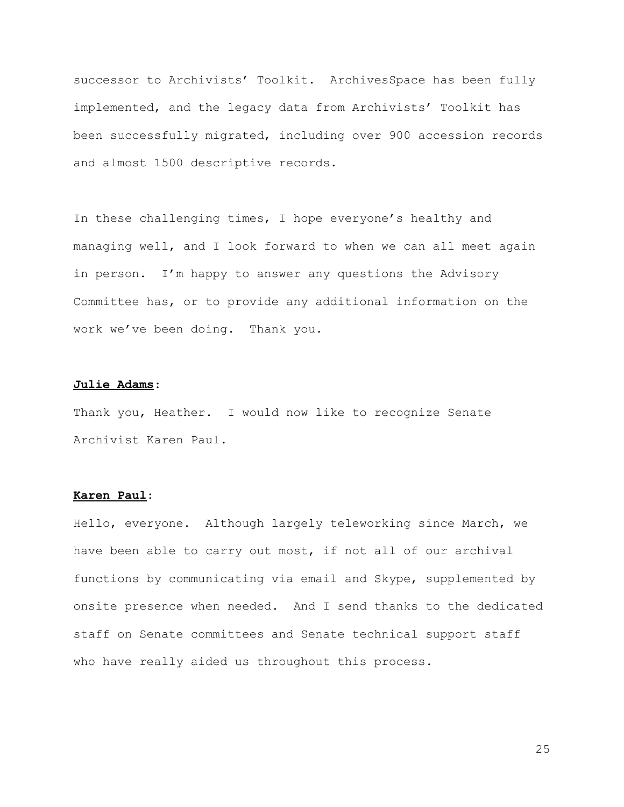successor to Archivists' Toolkit. ArchivesSpace has been fully implemented, and the legacy data from Archivists' Toolkit has been successfully migrated, including over 900 accession records and almost 1500 descriptive records.

In these challenging times, I hope everyone's healthy and managing well, and I look forward to when we can all meet again in person. I'm happy to answer any questions the Advisory Committee has, or to provide any additional information on the work we've been doing. Thank you.

#### **Julie Adams**:

Thank you, Heather. I would now like to recognize Senate Archivist Karen Paul.

#### **Karen Paul**:

Hello, everyone. Although largely teleworking since March, we have been able to carry out most, if not all of our archival functions by communicating via email and Skype, supplemented by onsite presence when needed. And I send thanks to the dedicated staff on Senate committees and Senate technical support staff who have really aided us throughout this process.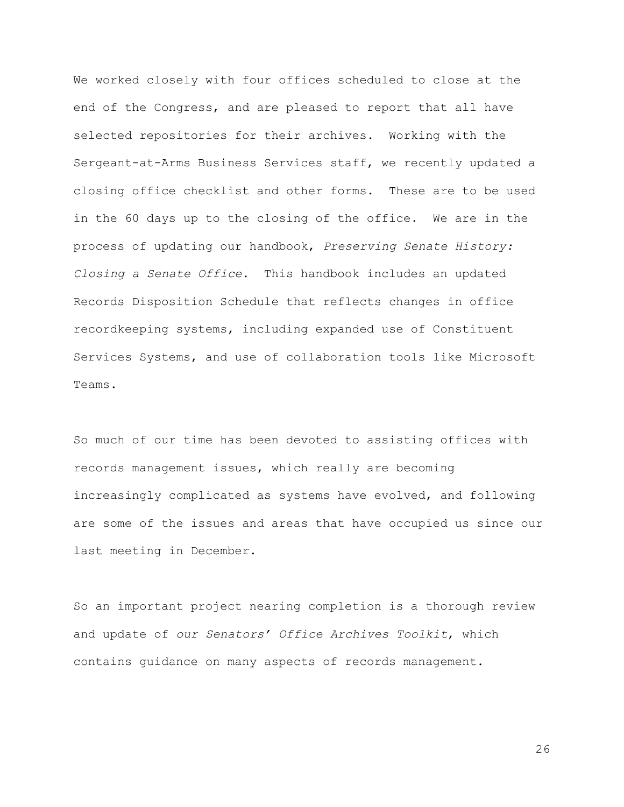We worked closely with four offices scheduled to close at the end of the Congress, and are pleased to report that all have selected repositories for their archives. Working with the Sergeant-at-Arms Business Services staff, we recently updated a closing office checklist and other forms. These are to be used in the 60 days up to the closing of the office. We are in the process of updating our handbook, *Preserving Senate History: Closing a Senate Office*. This handbook includes an updated Records Disposition Schedule that reflects changes in office recordkeeping systems, including expanded use of Constituent Services Systems, and use of collaboration tools like Microsoft Teams.

So much of our time has been devoted to assisting offices with records management issues, which really are becoming increasingly complicated as systems have evolved, and following are some of the issues and areas that have occupied us since our last meeting in December.

So an important project nearing completion is a thorough review and update of *our Senators' Office Archives Toolkit*, which contains guidance on many aspects of records management.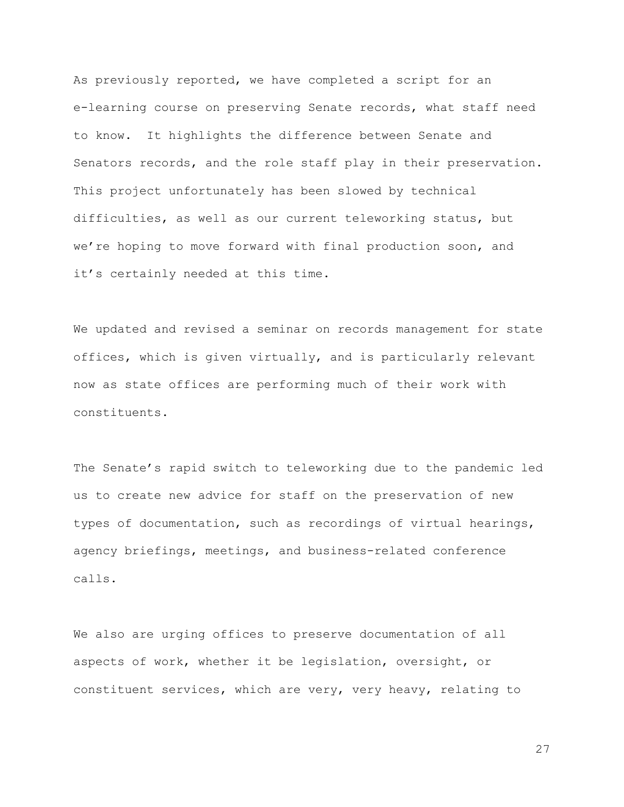As previously reported, we have completed a script for an e-learning course on preserving Senate records, what staff need to know. It highlights the difference between Senate and Senators records, and the role staff play in their preservation. This project unfortunately has been slowed by technical difficulties, as well as our current teleworking status, but we're hoping to move forward with final production soon, and it's certainly needed at this time.

We updated and revised a seminar on records management for state offices, which is given virtually, and is particularly relevant now as state offices are performing much of their work with constituents.

The Senate's rapid switch to teleworking due to the pandemic led us to create new advice for staff on the preservation of new types of documentation, such as recordings of virtual hearings, agency briefings, meetings, and business-related conference calls.

We also are urging offices to preserve documentation of all aspects of work, whether it be legislation, oversight, or constituent services, which are very, very heavy, relating to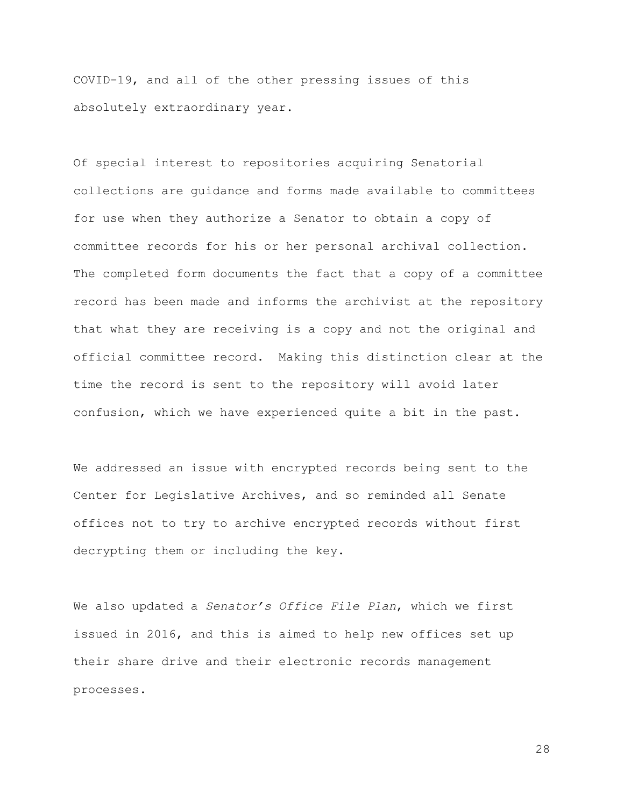COVID-19, and all of the other pressing issues of this absolutely extraordinary year.

Of special interest to repositories acquiring Senatorial collections are guidance and forms made available to committees for use when they authorize a Senator to obtain a copy of committee records for his or her personal archival collection. The completed form documents the fact that a copy of a committee record has been made and informs the archivist at the repository that what they are receiving is a copy and not the original and official committee record. Making this distinction clear at the time the record is sent to the repository will avoid later confusion, which we have experienced quite a bit in the past.

We addressed an issue with encrypted records being sent to the Center for Legislative Archives, and so reminded all Senate offices not to try to archive encrypted records without first decrypting them or including the key.

We also updated a *Senator's Office File Plan*, which we first issued in 2016, and this is aimed to help new offices set up their share drive and their electronic records management processes.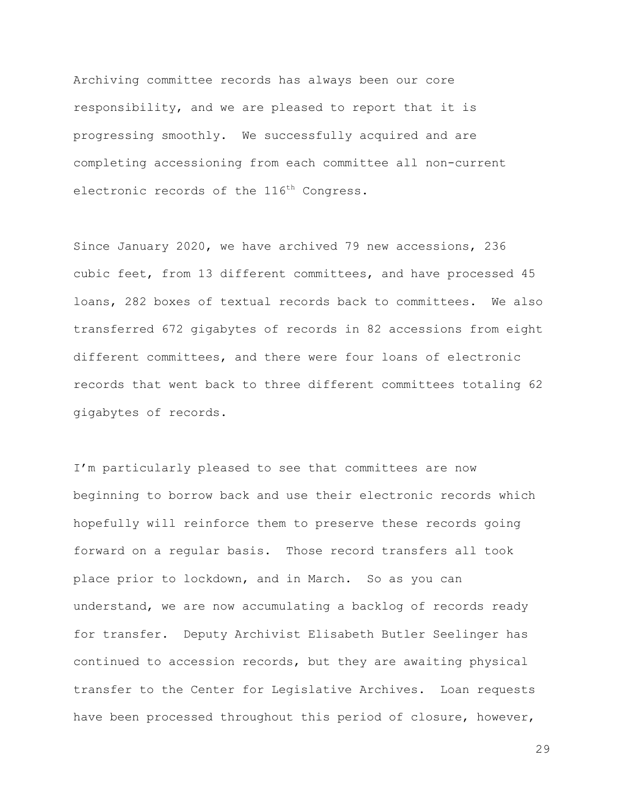Archiving committee records has always been our core responsibility, and we are pleased to report that it is progressing smoothly. We successfully acquired and are completing accessioning from each committee all non-current electronic records of the 116<sup>th</sup> Congress.

Since January 2020, we have archived 79 new accessions, 236 cubic feet, from 13 different committees, and have processed 45 loans, 282 boxes of textual records back to committees. We also transferred 672 gigabytes of records in 82 accessions from eight different committees, and there were four loans of electronic records that went back to three different committees totaling 62 gigabytes of records.

I'm particularly pleased to see that committees are now beginning to borrow back and use their electronic records which hopefully will reinforce them to preserve these records going forward on a regular basis. Those record transfers all took place prior to lockdown, and in March. So as you can understand, we are now accumulating a backlog of records ready for transfer. Deputy Archivist Elisabeth Butler Seelinger has continued to accession records, but they are awaiting physical transfer to the Center for Legislative Archives. Loan requests have been processed throughout this period of closure, however,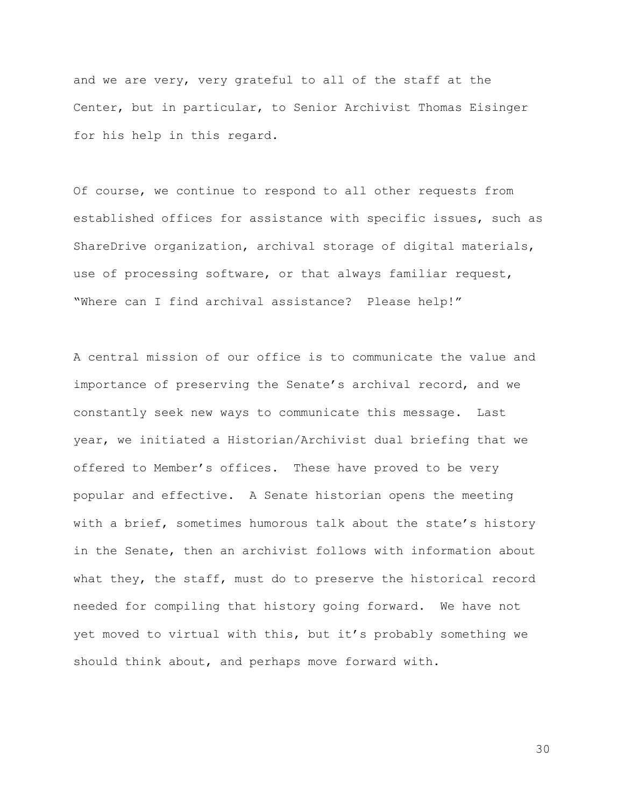and we are very, very grateful to all of the staff at the Center, but in particular, to Senior Archivist Thomas Eisinger for his help in this regard.

Of course, we continue to respond to all other requests from established offices for assistance with specific issues, such as ShareDrive organization, archival storage of digital materials, use of processing software, or that always familiar request, "Where can I find archival assistance? Please help!"

A central mission of our office is to communicate the value and importance of preserving the Senate's archival record, and we constantly seek new ways to communicate this message. Last year, we initiated a Historian/Archivist dual briefing that we offered to Member's offices. These have proved to be very popular and effective. A Senate historian opens the meeting with a brief, sometimes humorous talk about the state's history in the Senate, then an archivist follows with information about what they, the staff, must do to preserve the historical record needed for compiling that history going forward. We have not yet moved to virtual with this, but it's probably something we should think about, and perhaps move forward with.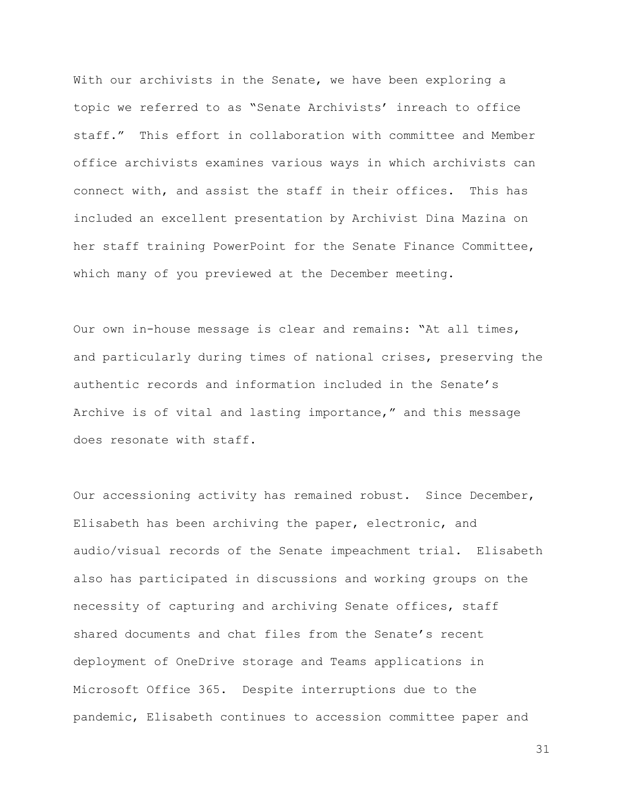With our archivists in the Senate, we have been exploring a topic we referred to as "Senate Archivists' inreach to office staff." This effort in collaboration with committee and Member office archivists examines various ways in which archivists can connect with, and assist the staff in their offices. This has included an excellent presentation by Archivist Dina Mazina on her staff training PowerPoint for the Senate Finance Committee, which many of you previewed at the December meeting.

Our own in-house message is clear and remains: "At all times, and particularly during times of national crises, preserving the authentic records and information included in the Senate's Archive is of vital and lasting importance," and this message does resonate with staff.

Our accessioning activity has remained robust. Since December, Elisabeth has been archiving the paper, electronic, and audio/visual records of the Senate impeachment trial. Elisabeth also has participated in discussions and working groups on the necessity of capturing and archiving Senate offices, staff shared documents and chat files from the Senate's recent deployment of OneDrive storage and Teams applications in Microsoft Office 365. Despite interruptions due to the pandemic, Elisabeth continues to accession committee paper and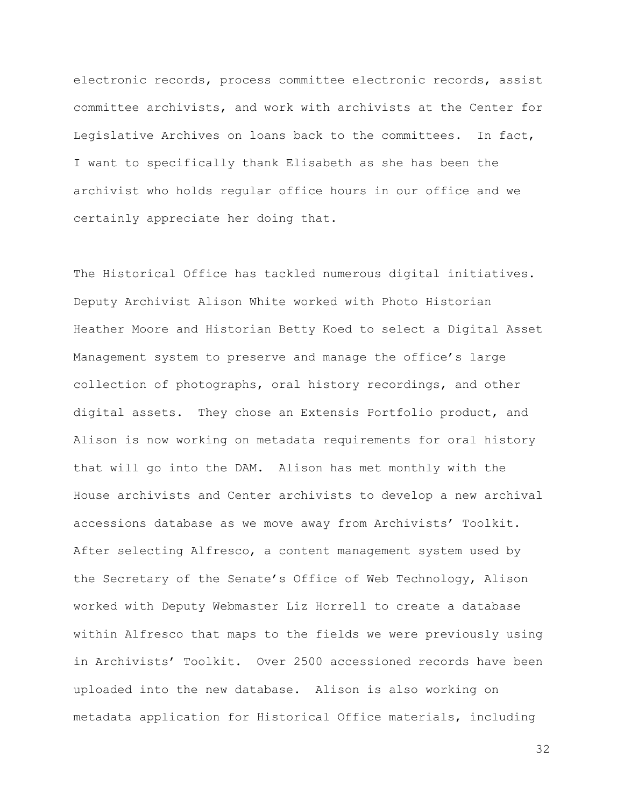electronic records, process committee electronic records, assist committee archivists, and work with archivists at the Center for Legislative Archives on loans back to the committees. In fact, I want to specifically thank Elisabeth as she has been the archivist who holds regular office hours in our office and we certainly appreciate her doing that.

The Historical Office has tackled numerous digital initiatives. Deputy Archivist Alison White worked with Photo Historian Heather Moore and Historian Betty Koed to select a Digital Asset Management system to preserve and manage the office's large collection of photographs, oral history recordings, and other digital assets. They chose an Extensis Portfolio product, and Alison is now working on metadata requirements for oral history that will go into the DAM. Alison has met monthly with the House archivists and Center archivists to develop a new archival accessions database as we move away from Archivists' Toolkit. After selecting Alfresco, a content management system used by the Secretary of the Senate's Office of Web Technology, Alison worked with Deputy Webmaster Liz Horrell to create a database within Alfresco that maps to the fields we were previously using in Archivists' Toolkit. Over 2500 accessioned records have been uploaded into the new database. Alison is also working on metadata application for Historical Office materials, including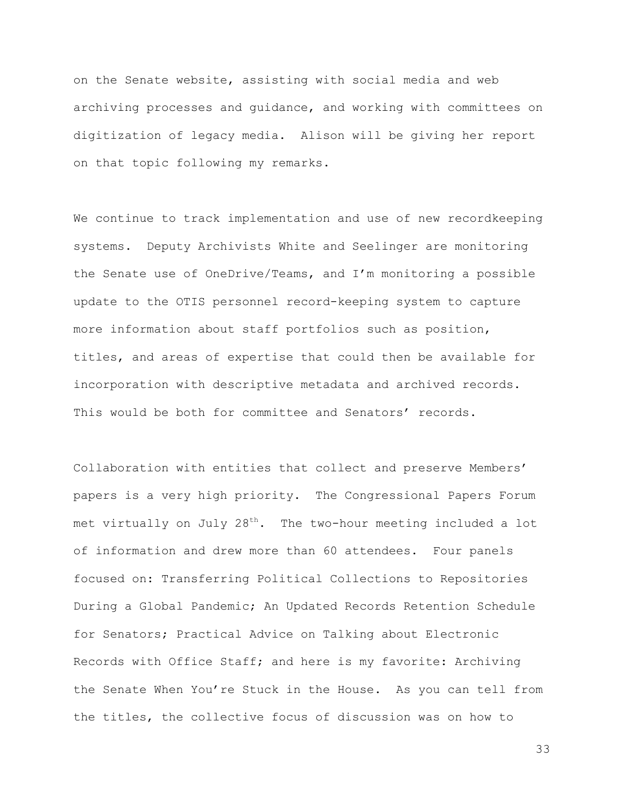on the Senate website, assisting with social media and web archiving processes and guidance, and working with committees on digitization of legacy media. Alison will be giving her report on that topic following my remarks.

We continue to track implementation and use of new recordkeeping systems. Deputy Archivists White and Seelinger are monitoring the Senate use of OneDrive/Teams, and I'm monitoring a possible update to the OTIS personnel record-keeping system to capture more information about staff portfolios such as position, titles, and areas of expertise that could then be available for incorporation with descriptive metadata and archived records. This would be both for committee and Senators' records.

Collaboration with entities that collect and preserve Members' papers is a very high priority. The Congressional Papers Forum met virtually on July  $28<sup>th</sup>$ . The two-hour meeting included a lot of information and drew more than 60 attendees. Four panels focused on: Transferring Political Collections to Repositories During a Global Pandemic; An Updated Records Retention Schedule for Senators; Practical Advice on Talking about Electronic Records with Office Staff; and here is my favorite: Archiving the Senate When You're Stuck in the House. As you can tell from the titles, the collective focus of discussion was on how to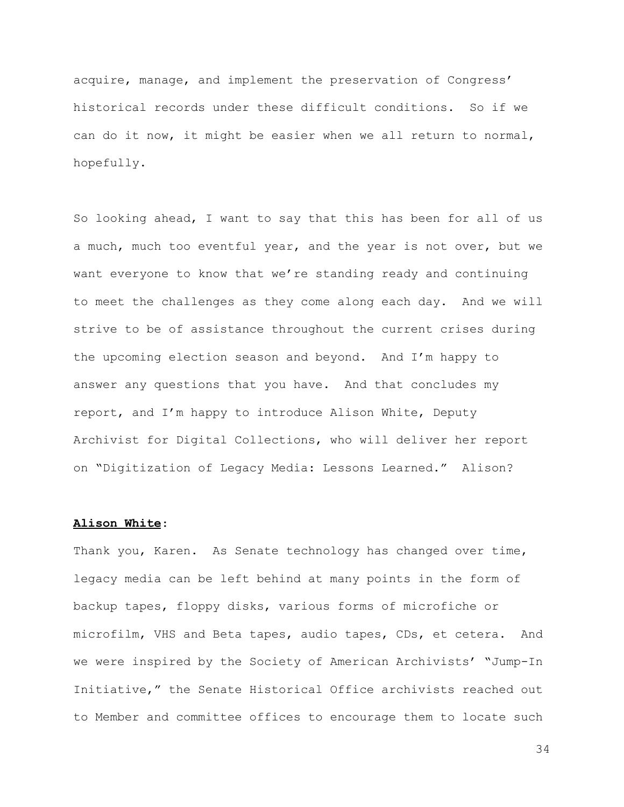acquire, manage, and implement the preservation of Congress' historical records under these difficult conditions. So if we can do it now, it might be easier when we all return to normal, hopefully.

So looking ahead, I want to say that this has been for all of us a much, much too eventful year, and the year is not over, but we want everyone to know that we're standing ready and continuing to meet the challenges as they come along each day. And we will strive to be of assistance throughout the current crises during the upcoming election season and beyond. And I'm happy to answer any questions that you have. And that concludes my report, and I'm happy to introduce Alison White, Deputy Archivist for Digital Collections, who will deliver her report on "Digitization of Legacy Media: Lessons Learned." Alison?

#### **Alison White**:

Thank you, Karen. As Senate technology has changed over time, legacy media can be left behind at many points in the form of backup tapes, floppy disks, various forms of microfiche or microfilm, VHS and Beta tapes, audio tapes, CDs, et cetera. And we were inspired by the Society of American Archivists' "Jump-In Initiative," the Senate Historical Office archivists reached out to Member and committee offices to encourage them to locate such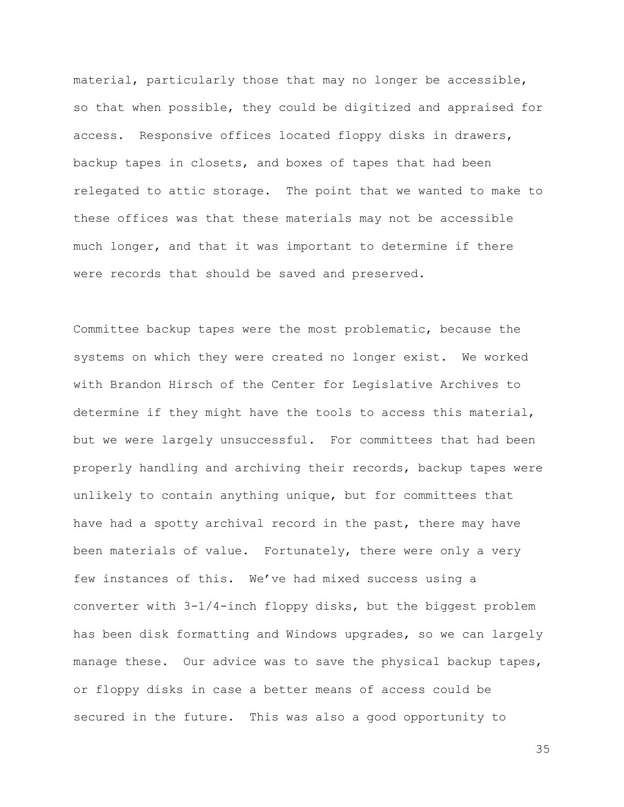material, particularly those that may no longer be accessible, so that when possible, they could be digitized and appraised for access. Responsive offices located floppy disks in drawers, backup tapes in closets, and boxes of tapes that had been relegated to attic storage. The point that we wanted to make to these offices was that these materials may not be accessible much longer, and that it was important to determine if there were records that should be saved and preserved.

Committee backup tapes were the most problematic, because the systems on which they were created no longer exist. We worked with Brandon Hirsch of the Center for Legislative Archives to determine if they might have the tools to access this material, but we were largely unsuccessful. For committees that had been properly handling and archiving their records, backup tapes were unlikely to contain anything unique, but for committees that have had a spotty archival record in the past, there may have been materials of value. Fortunately, there were only a very few instances of this. We've had mixed success using a converter with 3-1/4-inch floppy disks, but the biggest problem has been disk formatting and Windows upgrades, so we can largely manage these. Our advice was to save the physical backup tapes, or floppy disks in case a better means of access could be secured in the future. This was also a good opportunity to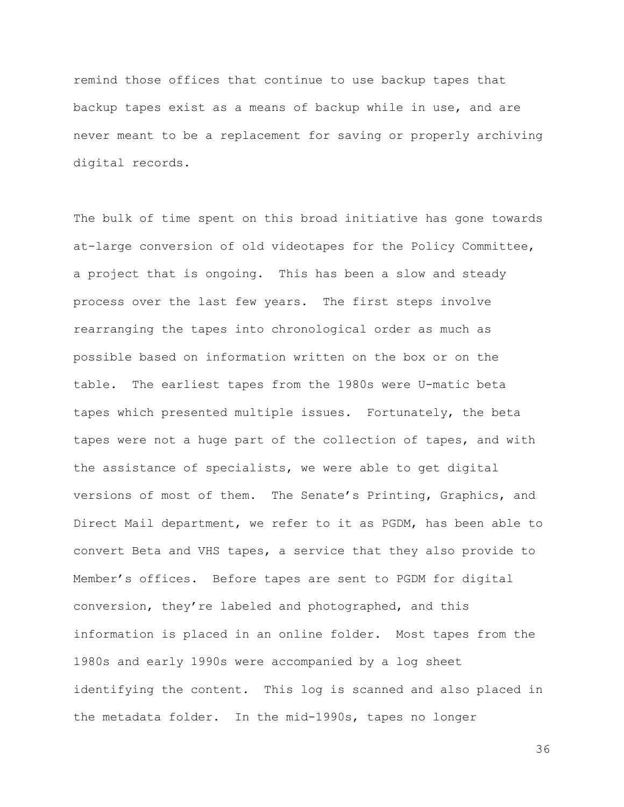remind those offices that continue to use backup tapes that backup tapes exist as a means of backup while in use, and are never meant to be a replacement for saving or properly archiving digital records.

The bulk of time spent on this broad initiative has gone towards at-large conversion of old videotapes for the Policy Committee, a project that is ongoing. This has been a slow and steady process over the last few years. The first steps involve rearranging the tapes into chronological order as much as possible based on information written on the box or on the table. The earliest tapes from the 1980s were U-matic beta tapes which presented multiple issues. Fortunately, the beta tapes were not a huge part of the collection of tapes, and with the assistance of specialists, we were able to get digital versions of most of them. The Senate's Printing, Graphics, and Direct Mail department, we refer to it as PGDM, has been able to convert Beta and VHS tapes, a service that they also provide to Member's offices. Before tapes are sent to PGDM for digital conversion, they're labeled and photographed, and this information is placed in an online folder. Most tapes from the 1980s and early 1990s were accompanied by a log sheet identifying the content. This log is scanned and also placed in the metadata folder. In the mid-1990s, tapes no longer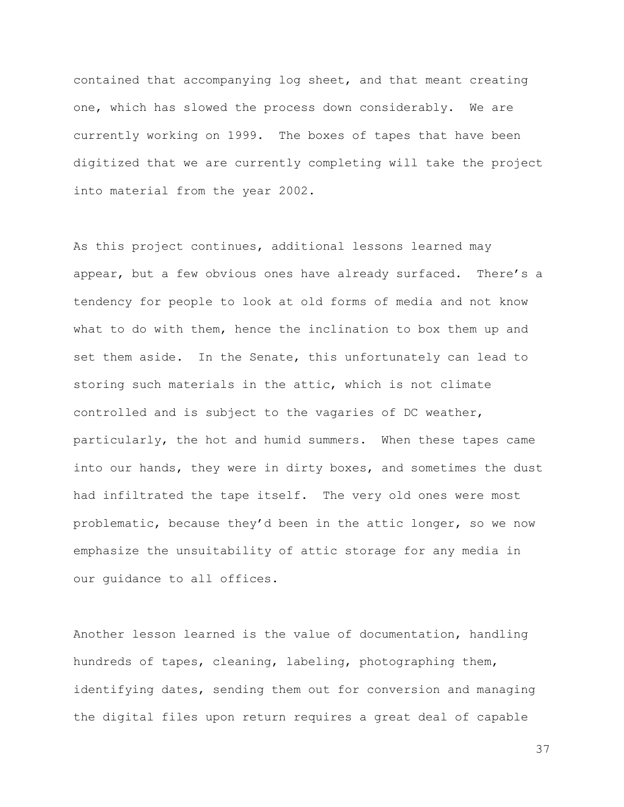contained that accompanying log sheet, and that meant creating one, which has slowed the process down considerably. We are currently working on 1999. The boxes of tapes that have been digitized that we are currently completing will take the project into material from the year 2002.

As this project continues, additional lessons learned may appear, but a few obvious ones have already surfaced. There's a tendency for people to look at old forms of media and not know what to do with them, hence the inclination to box them up and set them aside. In the Senate, this unfortunately can lead to storing such materials in the attic, which is not climate controlled and is subject to the vagaries of DC weather, particularly, the hot and humid summers. When these tapes came into our hands, they were in dirty boxes, and sometimes the dust had infiltrated the tape itself. The very old ones were most problematic, because they'd been in the attic longer, so we now emphasize the unsuitability of attic storage for any media in our guidance to all offices.

Another lesson learned is the value of documentation, handling hundreds of tapes, cleaning, labeling, photographing them, identifying dates, sending them out for conversion and managing the digital files upon return requires a great deal of capable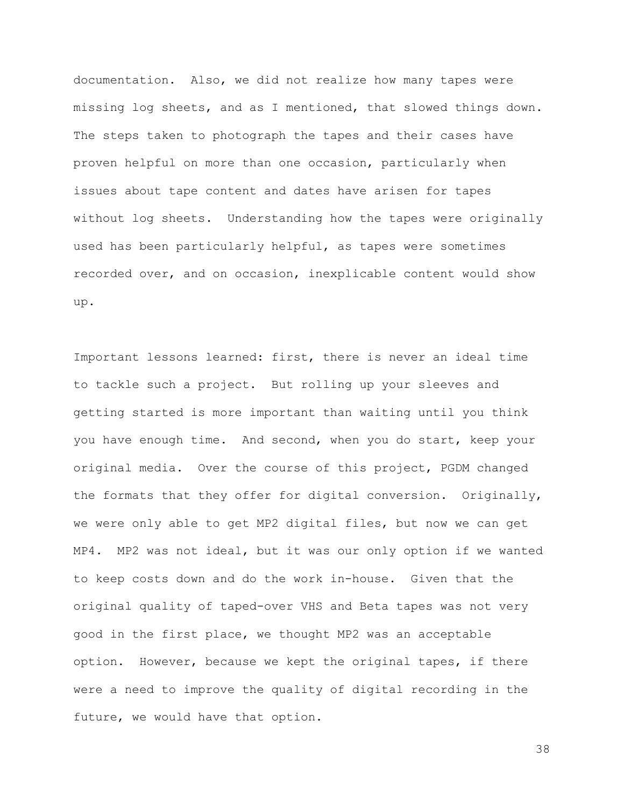documentation. Also, we did not realize how many tapes were missing log sheets, and as I mentioned, that slowed things down. The steps taken to photograph the tapes and their cases have proven helpful on more than one occasion, particularly when issues about tape content and dates have arisen for tapes without log sheets. Understanding how the tapes were originally used has been particularly helpful, as tapes were sometimes recorded over, and on occasion, inexplicable content would show up.

Important lessons learned: first, there is never an ideal time to tackle such a project. But rolling up your sleeves and getting started is more important than waiting until you think you have enough time. And second, when you do start, keep your original media. Over the course of this project, PGDM changed the formats that they offer for digital conversion. Originally, we were only able to get MP2 digital files, but now we can get MP4. MP2 was not ideal, but it was our only option if we wanted to keep costs down and do the work in-house. Given that the original quality of taped-over VHS and Beta tapes was not very good in the first place, we thought MP2 was an acceptable option. However, because we kept the original tapes, if there were a need to improve the quality of digital recording in the future, we would have that option.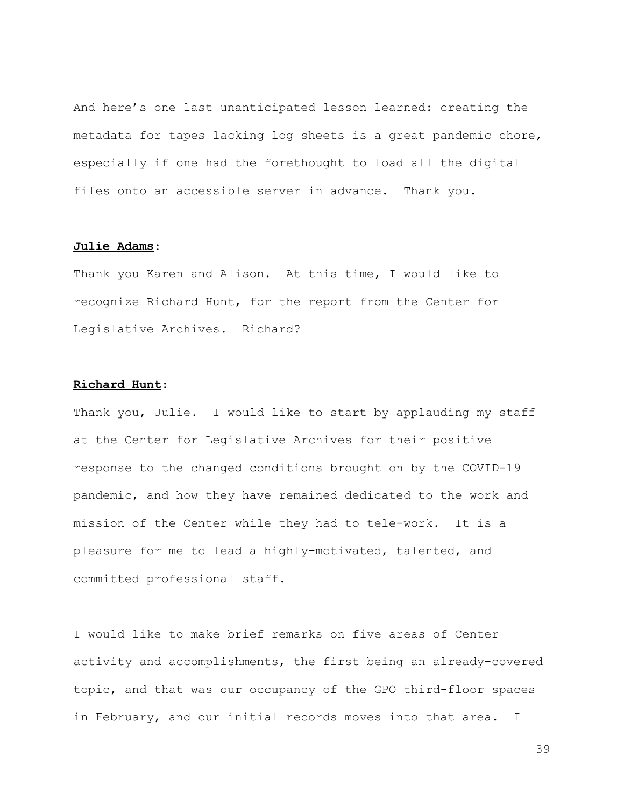And here's one last unanticipated lesson learned: creating the metadata for tapes lacking log sheets is a great pandemic chore, especially if one had the forethought to load all the digital files onto an accessible server in advance. Thank you.

## **Julie Adams**:

Thank you Karen and Alison. At this time, I would like to recognize Richard Hunt, for the report from the Center for Legislative Archives. Richard?

#### **Richard Hunt**:

Thank you, Julie. I would like to start by applauding my staff at the Center for Legislative Archives for their positive response to the changed conditions brought on by the COVID-19 pandemic, and how they have remained dedicated to the work and mission of the Center while they had to tele-work. It is a pleasure for me to lead a highly-motivated, talented, and committed professional staff.

I would like to make brief remarks on five areas of Center activity and accomplishments, the first being an already-covered topic, and that was our occupancy of the GPO third-floor spaces in February, and our initial records moves into that area. I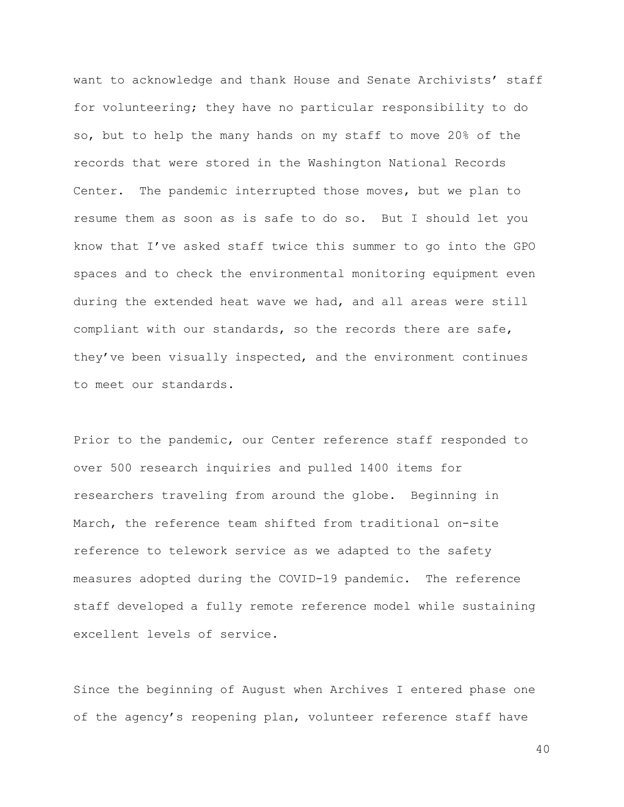want to acknowledge and thank House and Senate Archivists' staff for volunteering; they have no particular responsibility to do so, but to help the many hands on my staff to move 20% of the records that were stored in the Washington National Records Center. The pandemic interrupted those moves, but we plan to resume them as soon as is safe to do so. But I should let you know that I've asked staff twice this summer to go into the GPO spaces and to check the environmental monitoring equipment even during the extended heat wave we had, and all areas were still compliant with our standards, so the records there are safe, they've been visually inspected, and the environment continues to meet our standards.

Prior to the pandemic, our Center reference staff responded to over 500 research inquiries and pulled 1400 items for researchers traveling from around the globe. Beginning in March, the reference team shifted from traditional on-site reference to telework service as we adapted to the safety measures adopted during the COVID-19 pandemic. The reference staff developed a fully remote reference model while sustaining excellent levels of service.

Since the beginning of August when Archives I entered phase one of the agency's reopening plan, volunteer reference staff have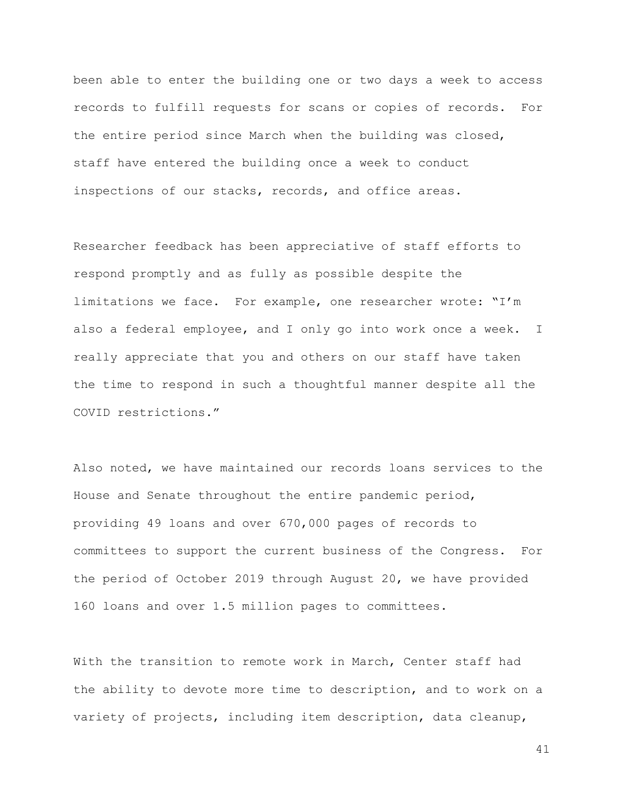been able to enter the building one or two days a week to access records to fulfill requests for scans or copies of records. For the entire period since March when the building was closed, staff have entered the building once a week to conduct inspections of our stacks, records, and office areas.

Researcher feedback has been appreciative of staff efforts to respond promptly and as fully as possible despite the limitations we face. For example, one researcher wrote: "I'm also a federal employee, and I only go into work once a week. I really appreciate that you and others on our staff have taken the time to respond in such a thoughtful manner despite all the COVID restrictions."

Also noted, we have maintained our records loans services to the House and Senate throughout the entire pandemic period, providing 49 loans and over 670,000 pages of records to committees to support the current business of the Congress. For the period of October 2019 through August 20, we have provided 160 loans and over 1.5 million pages to committees.

With the transition to remote work in March, Center staff had the ability to devote more time to description, and to work on a variety of projects, including item description, data cleanup,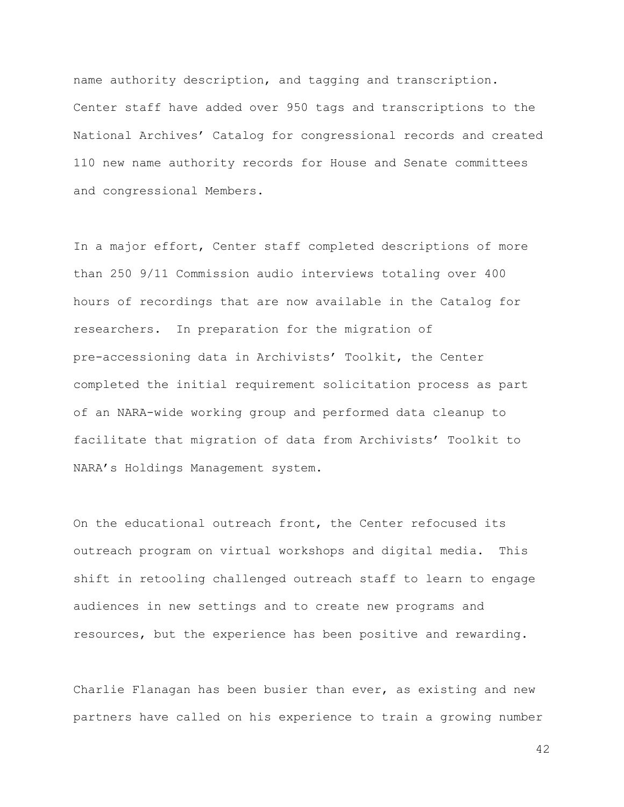name authority description, and tagging and transcription. Center staff have added over 950 tags and transcriptions to the National Archives' Catalog for congressional records and created 110 new name authority records for House and Senate committees and congressional Members.

In a major effort, Center staff completed descriptions of more than 250 9/11 Commission audio interviews totaling over 400 hours of recordings that are now available in the Catalog for researchers. In preparation for the migration of pre-accessioning data in Archivists' Toolkit, the Center completed the initial requirement solicitation process as part of an NARA-wide working group and performed data cleanup to facilitate that migration of data from Archivists' Toolkit to NARA's Holdings Management system.

On the educational outreach front, the Center refocused its outreach program on virtual workshops and digital media. This shift in retooling challenged outreach staff to learn to engage audiences in new settings and to create new programs and resources, but the experience has been positive and rewarding.

Charlie Flanagan has been busier than ever, as existing and new partners have called on his experience to train a growing number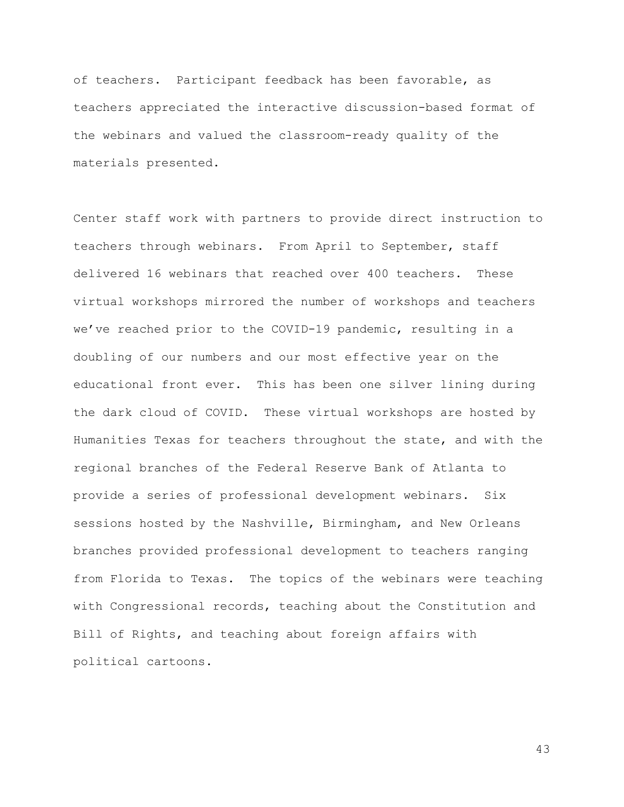of teachers. Participant feedback has been favorable, as teachers appreciated the interactive discussion-based format of the webinars and valued the classroom-ready quality of the materials presented.

Center staff work with partners to provide direct instruction to teachers through webinars. From April to September, staff delivered 16 webinars that reached over 400 teachers. These virtual workshops mirrored the number of workshops and teachers we've reached prior to the COVID-19 pandemic, resulting in a doubling of our numbers and our most effective year on the educational front ever. This has been one silver lining during the dark cloud of COVID. These virtual workshops are hosted by Humanities Texas for teachers throughout the state, and with the regional branches of the Federal Reserve Bank of Atlanta to provide a series of professional development webinars. Six sessions hosted by the Nashville, Birmingham, and New Orleans branches provided professional development to teachers ranging from Florida to Texas. The topics of the webinars were teaching with Congressional records, teaching about the Constitution and Bill of Rights, and teaching about foreign affairs with political cartoons.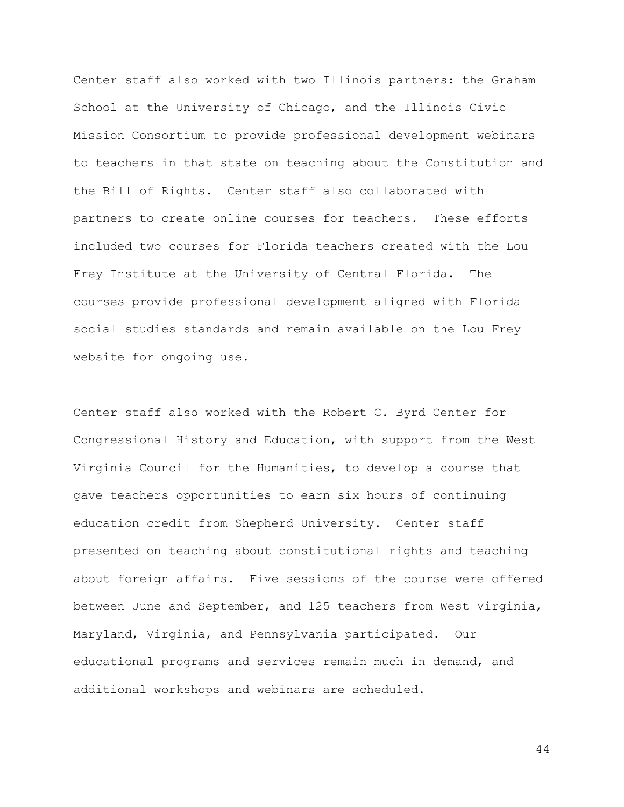Center staff also worked with two Illinois partners: the Graham School at the University of Chicago, and the Illinois Civic Mission Consortium to provide professional development webinars to teachers in that state on teaching about the Constitution and the Bill of Rights. Center staff also collaborated with partners to create online courses for teachers. These efforts included two courses for Florida teachers created with the Lou Frey Institute at the University of Central Florida. The courses provide professional development aligned with Florida social studies standards and remain available on the Lou Frey website for ongoing use.

Center staff also worked with the Robert C. Byrd Center for Congressional History and Education, with support from the West Virginia Council for the Humanities, to develop a course that gave teachers opportunities to earn six hours of continuing education credit from Shepherd University. Center staff presented on teaching about constitutional rights and teaching about foreign affairs. Five sessions of the course were offered between June and September, and 125 teachers from West Virginia, Maryland, Virginia, and Pennsylvania participated. Our educational programs and services remain much in demand, and additional workshops and webinars are scheduled.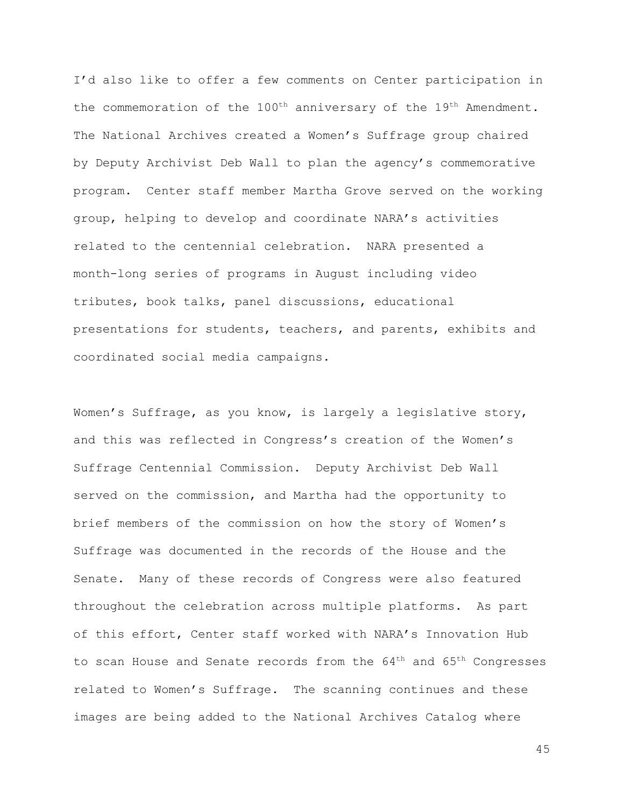I'd also like to offer a few comments on Center participation in the commemoration of the  $100<sup>th</sup>$  anniversary of the  $19<sup>th</sup>$  Amendment. The National Archives created a Women's Suffrage group chaired by Deputy Archivist Deb Wall to plan the agency's commemorative program. Center staff member Martha Grove served on the working group, helping to develop and coordinate NARA's activities related to the centennial celebration. NARA presented a month-long series of programs in August including video tributes, book talks, panel discussions, educational presentations for students, teachers, and parents, exhibits and coordinated social media campaigns.

Women's Suffrage, as you know, is largely a legislative story, and this was reflected in Congress's creation of the Women's Suffrage Centennial Commission. Deputy Archivist Deb Wall served on the commission, and Martha had the opportunity to brief members of the commission on how the story of Women's Suffrage was documented in the records of the House and the Senate. Many of these records of Congress were also featured throughout the celebration across multiple platforms. As part of this effort, Center staff worked with NARA's Innovation Hub to scan House and Senate records from the  $64<sup>th</sup>$  and  $65<sup>th</sup>$  Congresses related to Women's Suffrage. The scanning continues and these images are being added to the National Archives Catalog where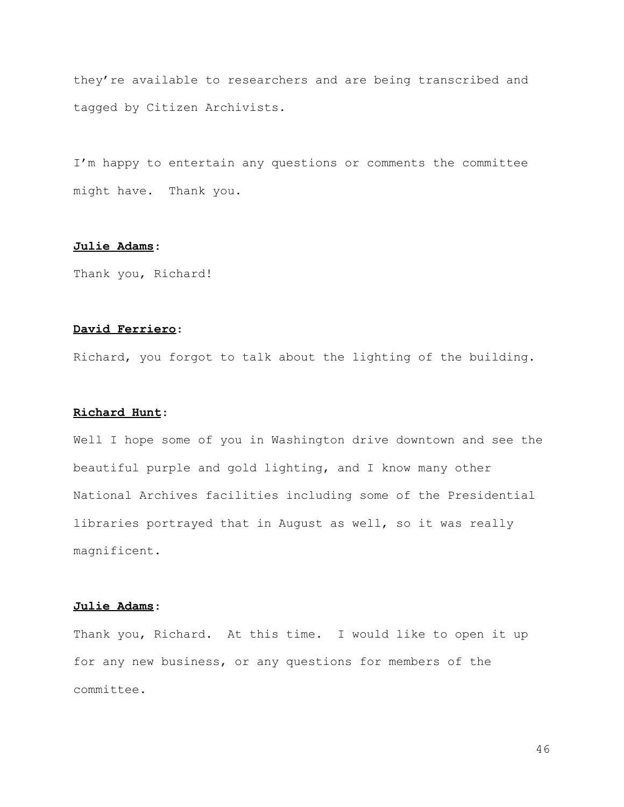they're available to researchers and are being transcribed and tagged by Citizen Archivists.

I'm happy to entertain any questions or comments the committee might have. Thank you.

# **Julie Adams**:

Thank you, Richard!

#### **David Ferriero**:

Richard, you forgot to talk about the lighting of the building.

#### **Richard Hunt**:

Well I hope some of you in Washington drive downtown and see the beautiful purple and gold lighting, and I know many other National Archives facilities including some of the Presidential libraries portrayed that in August as well, so it was really magnificent.

## **Julie Adams**:

Thank you, Richard. At this time. I would like to open it up for any new business, or any questions for members of the committee.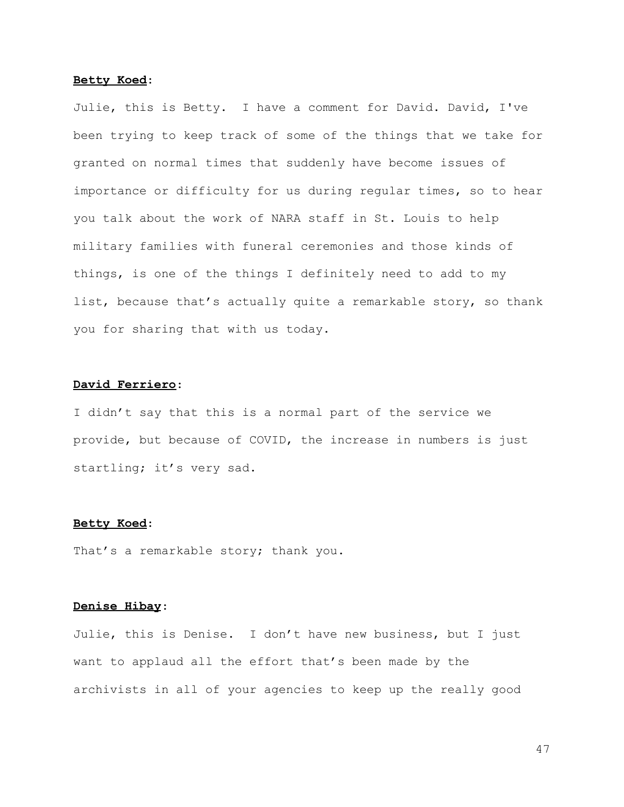### **Betty Koed**:

Julie, this is Betty. I have a comment for David. David, I've been trying to keep track of some of the things that we take for granted on normal times that suddenly have become issues of importance or difficulty for us during regular times, so to hear you talk about the work of NARA staff in St. Louis to help military families with funeral ceremonies and those kinds of things, is one of the things I definitely need to add to my list, because that's actually quite a remarkable story, so thank you for sharing that with us today.

#### **David Ferriero**:

I didn't say that this is a normal part of the service we provide, but because of COVID, the increase in numbers is just startling; it's very sad.

#### **Betty Koed**:

That's a remarkable story; thank you.

#### **Denise Hibay**:

Julie, this is Denise. I don't have new business, but I just want to applaud all the effort that's been made by the archivists in all of your agencies to keep up the really good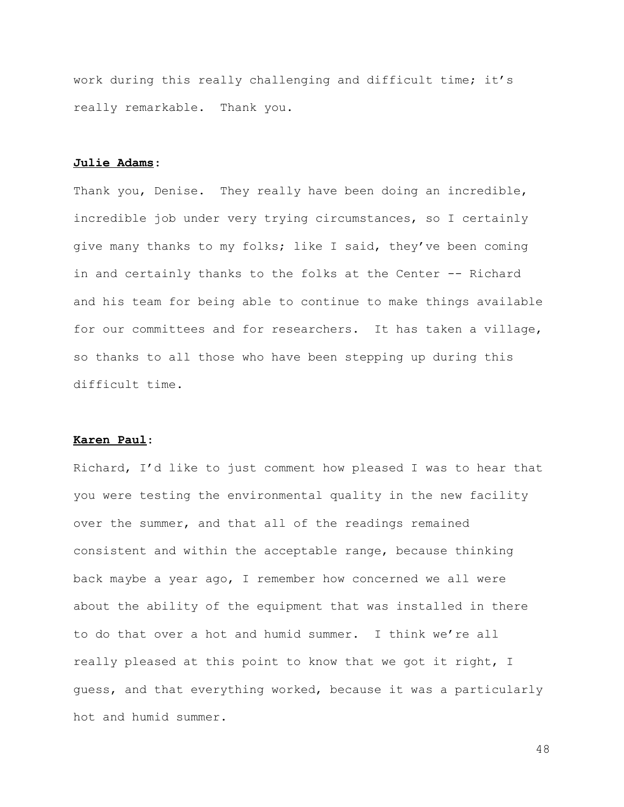work during this really challenging and difficult time; it's really remarkable. Thank you.

## **Julie Adams**:

Thank you, Denise. They really have been doing an incredible, incredible job under very trying circumstances, so I certainly give many thanks to my folks; like I said, they've been coming in and certainly thanks to the folks at the Center -- Richard and his team for being able to continue to make things available for our committees and for researchers. It has taken a village, so thanks to all those who have been stepping up during this difficult time.

#### **Karen Paul**:

Richard, I'd like to just comment how pleased I was to hear that you were testing the environmental quality in the new facility over the summer, and that all of the readings remained consistent and within the acceptable range, because thinking back maybe a year ago, I remember how concerned we all were about the ability of the equipment that was installed in there to do that over a hot and humid summer. I think we're all really pleased at this point to know that we got it right, I guess, and that everything worked, because it was a particularly hot and humid summer.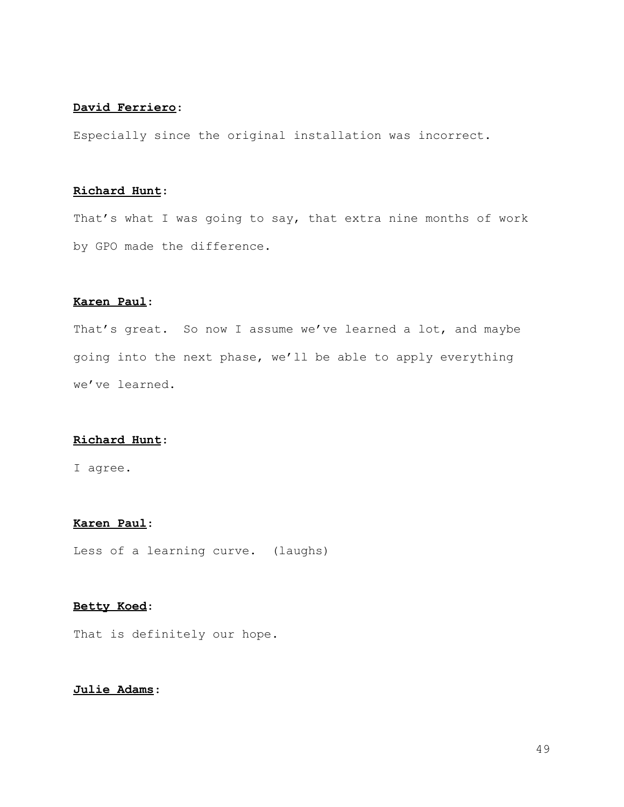## **David Ferriero**:

Especially since the original installation was incorrect.

## **Richard Hunt**:

That's what I was going to say, that extra nine months of work by GPO made the difference.

#### **Karen Paul**:

That's great. So now I assume we've learned a lot, and maybe going into the next phase, we'll be able to apply everything we've learned.

## **Richard Hunt**:

I agree.

## **Karen Paul**:

Less of a learning curve. (laughs)

## **Betty Koed**:

That is definitely our hope.

## **Julie Adams**: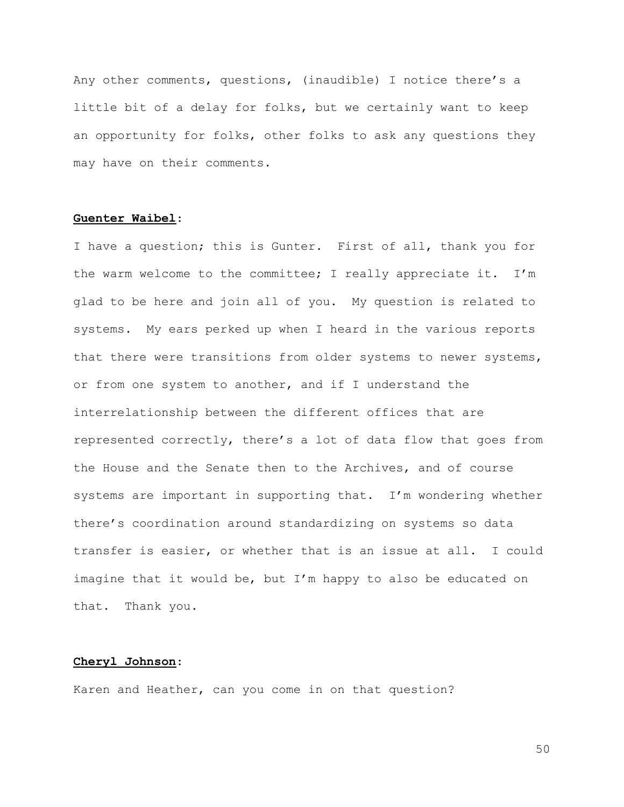Any other comments, questions, (inaudible) I notice there's a little bit of a delay for folks, but we certainly want to keep an opportunity for folks, other folks to ask any questions they may have on their comments.

## **Guenter Waibel**:

I have a question; this is Gunter. First of all, thank you for the warm welcome to the committee; I really appreciate it. I'm glad to be here and join all of you. My question is related to systems. My ears perked up when I heard in the various reports that there were transitions from older systems to newer systems, or from one system to another, and if I understand the interrelationship between the different offices that are represented correctly, there's a lot of data flow that goes from the House and the Senate then to the Archives, and of course systems are important in supporting that. I'm wondering whether there's coordination around standardizing on systems so data transfer is easier, or whether that is an issue at all. I could imagine that it would be, but I'm happy to also be educated on that. Thank you.

#### **Cheryl Johnson**:

Karen and Heather, can you come in on that question?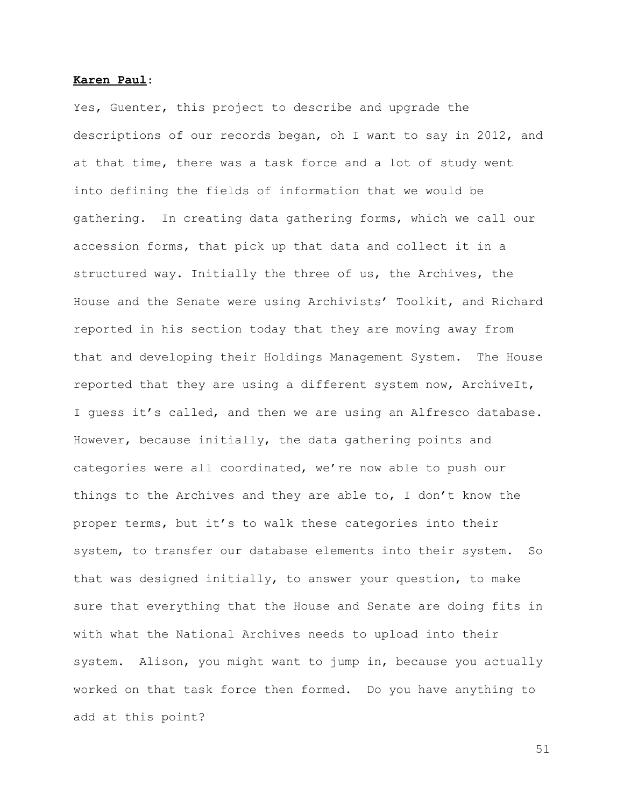#### **Karen Paul**:

Yes, Guenter, this project to describe and upgrade the descriptions of our records began, oh I want to say in 2012, and at that time, there was a task force and a lot of study went into defining the fields of information that we would be gathering. In creating data gathering forms, which we call our accession forms, that pick up that data and collect it in a structured way. Initially the three of us, the Archives, the House and the Senate were using Archivists' Toolkit, and Richard reported in his section today that they are moving away from that and developing their Holdings Management System. The House reported that they are using a different system now, ArchiveIt, I guess it's called, and then we are using an Alfresco database. However, because initially, the data gathering points and categories were all coordinated, we're now able to push our things to the Archives and they are able to, I don't know the proper terms, but it's to walk these categories into their system, to transfer our database elements into their system. So that was designed initially, to answer your question, to make sure that everything that the House and Senate are doing fits in with what the National Archives needs to upload into their system. Alison, you might want to jump in, because you actually worked on that task force then formed. Do you have anything to add at this point?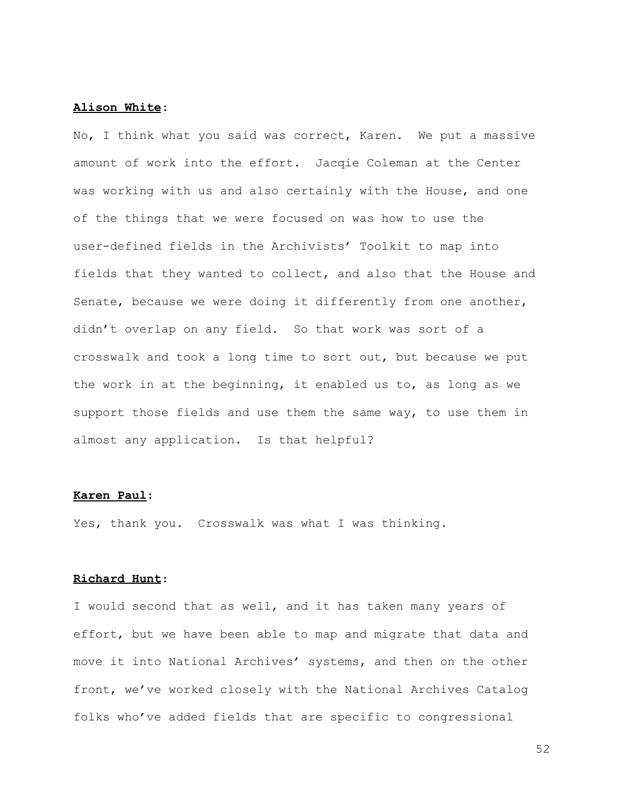#### **Alison White**:

No, I think what you said was correct, Karen. We put a massive amount of work into the effort. Jacqie Coleman at the Center was working with us and also certainly with the House, and one of the things that we were focused on was how to use the user-defined fields in the Archivists' Toolkit to map into fields that they wanted to collect, and also that the House and Senate, because we were doing it differently from one another, didn't overlap on any field. So that work was sort of a crosswalk and took a long time to sort out, but because we put the work in at the beginning, it enabled us to, as long as we support those fields and use them the same way, to use them in almost any application. Is that helpful?

#### **Karen Paul**:

Yes, thank you. Crosswalk was what I was thinking.

#### **Richard Hunt**:

I would second that as well, and it has taken many years of effort, but we have been able to map and migrate that data and move it into National Archives' systems, and then on the other front, we've worked closely with the National Archives Catalog folks who've added fields that are specific to congressional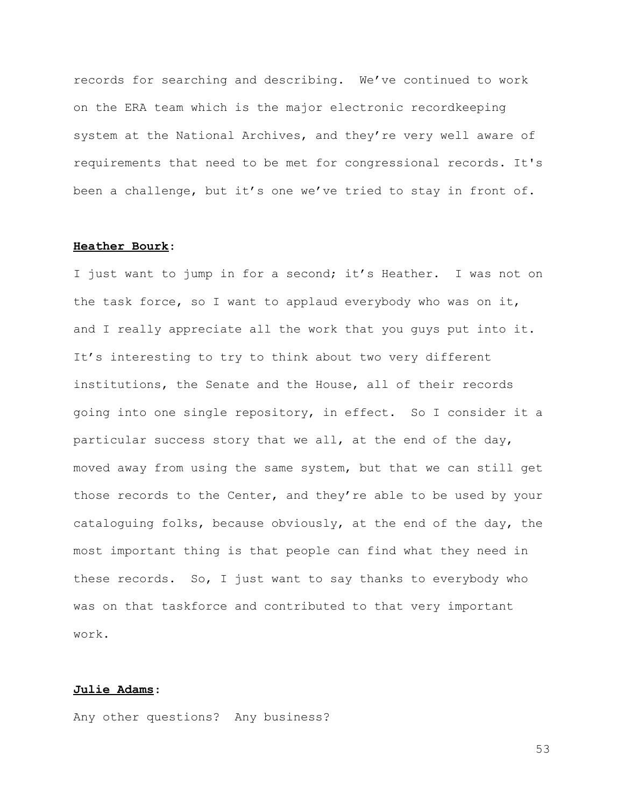records for searching and describing. We've continued to work on the ERA team which is the major electronic recordkeeping system at the National Archives, and they're very well aware of requirements that need to be met for congressional records. It's been a challenge, but it's one we've tried to stay in front of.

# **Heather Bourk**:

I just want to jump in for a second; it's Heather. I was not on the task force, so I want to applaud everybody who was on it, and I really appreciate all the work that you guys put into it. It's interesting to try to think about two very different institutions, the Senate and the House, all of their records going into one single repository, in effect. So I consider it a particular success story that we all, at the end of the day, moved away from using the same system, but that we can still get those records to the Center, and they're able to be used by your cataloguing folks, because obviously, at the end of the day, the most important thing is that people can find what they need in these records. So, I just want to say thanks to everybody who was on that taskforce and contributed to that very important work.

## **Julie Adams**:

Any other questions? Any business?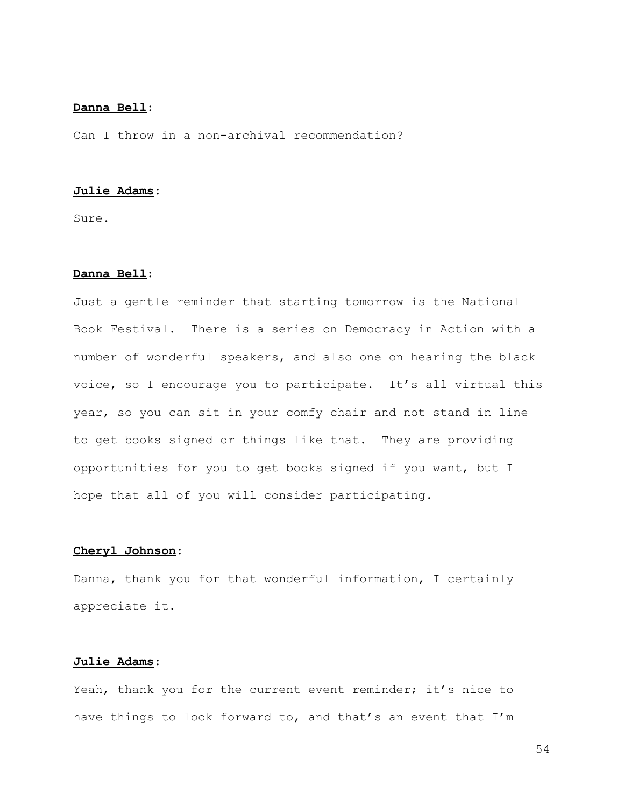#### **Danna Bell**:

Can I throw in a non-archival recommendation?

## **Julie Adams**:

Sure.

#### **Danna Bell**:

Just a gentle reminder that starting tomorrow is the National Book Festival. There is a series on Democracy in Action with a number of wonderful speakers, and also one on hearing the black voice, so I encourage you to participate. It's all virtual this year, so you can sit in your comfy chair and not stand in line to get books signed or things like that. They are providing opportunities for you to get books signed if you want, but I hope that all of you will consider participating.

#### **Cheryl Johnson**:

Danna, thank you for that wonderful information, I certainly appreciate it.

#### **Julie Adams**:

Yeah, thank you for the current event reminder; it's nice to have things to look forward to, and that's an event that I'm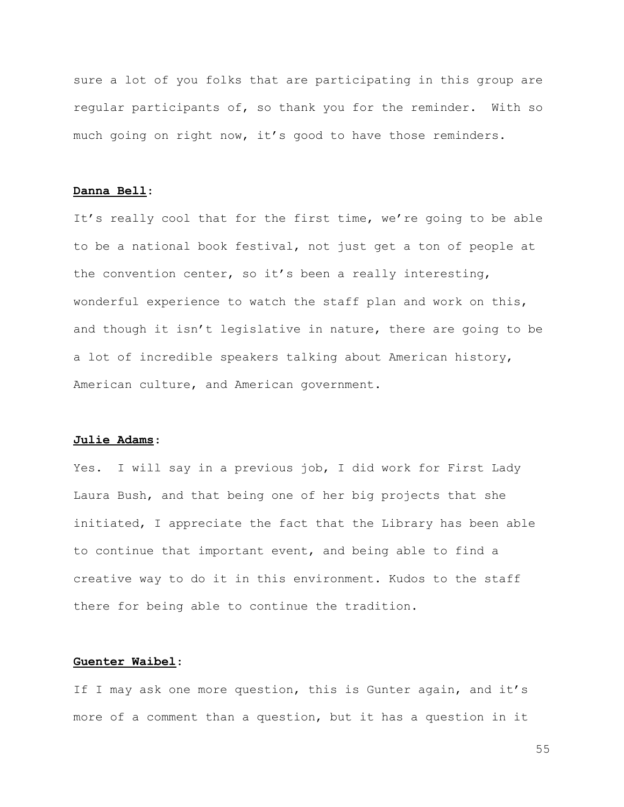sure a lot of you folks that are participating in this group are regular participants of, so thank you for the reminder. With so much going on right now, it's good to have those reminders.

#### **Danna Bell**:

It's really cool that for the first time, we're going to be able to be a national book festival, not just get a ton of people at the convention center, so it's been a really interesting, wonderful experience to watch the staff plan and work on this, and though it isn't legislative in nature, there are going to be a lot of incredible speakers talking about American history, American culture, and American government.

# **Julie Adams**:

Yes. I will say in a previous job, I did work for First Lady Laura Bush, and that being one of her big projects that she initiated, I appreciate the fact that the Library has been able to continue that important event, and being able to find a creative way to do it in this environment. Kudos to the staff there for being able to continue the tradition.

#### **Guenter Waibel**:

If I may ask one more question, this is Gunter again, and it's more of a comment than a question, but it has a question in it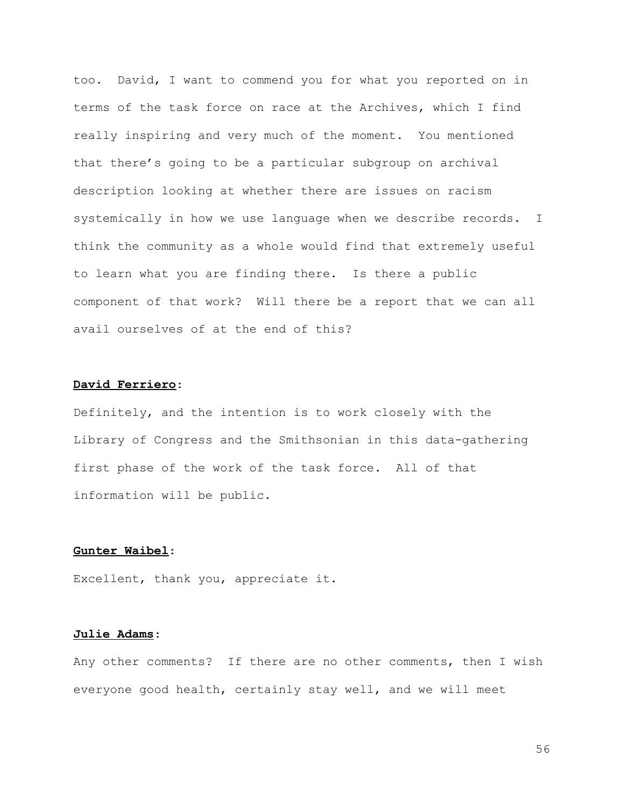too. David, I want to commend you for what you reported on in terms of the task force on race at the Archives, which I find really inspiring and very much of the moment. You mentioned that there's going to be a particular subgroup on archival description looking at whether there are issues on racism systemically in how we use language when we describe records. I think the community as a whole would find that extremely useful to learn what you are finding there. Is there a public component of that work? Will there be a report that we can all avail ourselves of at the end of this?

## **David Ferriero**:

Definitely, and the intention is to work closely with the Library of Congress and the Smithsonian in this data-gathering first phase of the work of the task force. All of that information will be public.

#### **Gunter Waibel**:

Excellent, thank you, appreciate it.

# **Julie Adams**:

Any other comments? If there are no other comments, then I wish everyone good health, certainly stay well, and we will meet